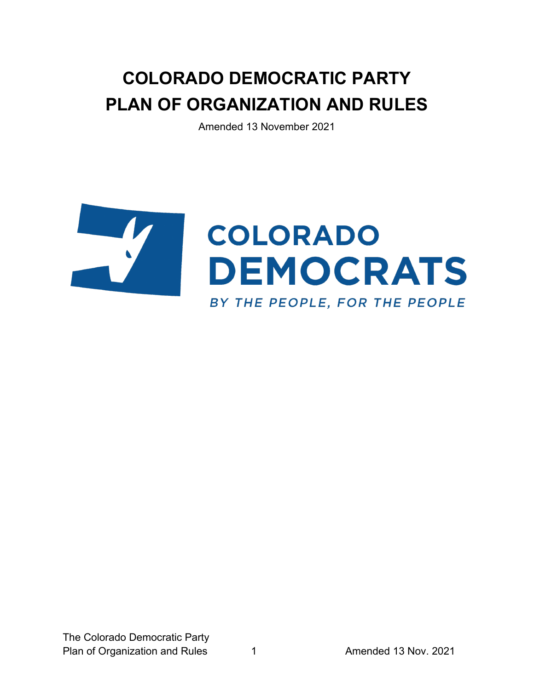# **COLORADO DEMOCRATIC PARTY PLAN OF ORGANIZATION AND RULES**

Amended 13 November 2021

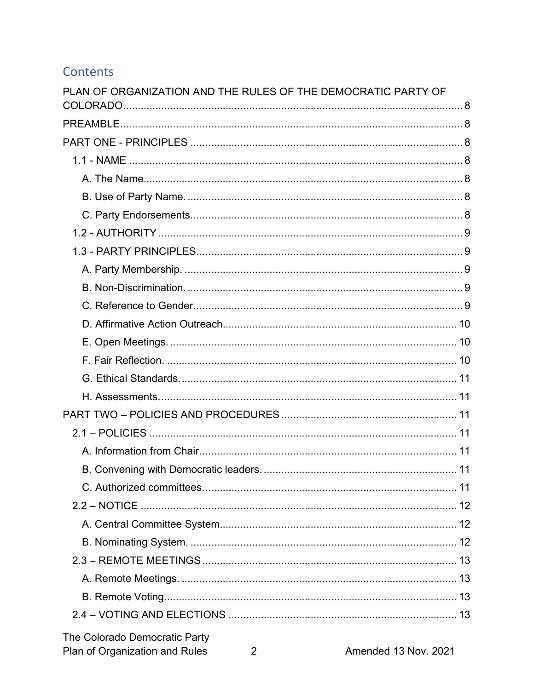# Contents

| PLAN OF ORGANIZATION AND THE RULES OF THE DEMOCRATIC PARTY OF |  |
|---------------------------------------------------------------|--|
|                                                               |  |
|                                                               |  |
|                                                               |  |
|                                                               |  |
|                                                               |  |
|                                                               |  |
|                                                               |  |
|                                                               |  |
|                                                               |  |
|                                                               |  |
|                                                               |  |
|                                                               |  |
|                                                               |  |
|                                                               |  |
|                                                               |  |
|                                                               |  |
|                                                               |  |
|                                                               |  |
|                                                               |  |
|                                                               |  |
|                                                               |  |
|                                                               |  |
|                                                               |  |
|                                                               |  |
|                                                               |  |
|                                                               |  |
|                                                               |  |
|                                                               |  |
|                                                               |  |
| The Colorado Democratic Party                                 |  |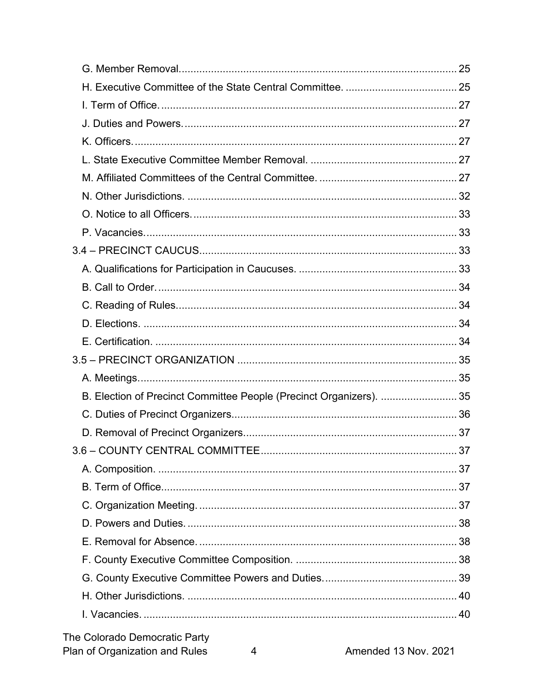| B. Election of Precinct Committee People (Precinct Organizers).  35 |  |
|---------------------------------------------------------------------|--|
|                                                                     |  |
|                                                                     |  |
|                                                                     |  |
|                                                                     |  |
|                                                                     |  |
|                                                                     |  |
|                                                                     |  |
|                                                                     |  |
|                                                                     |  |
|                                                                     |  |
|                                                                     |  |
|                                                                     |  |
|                                                                     |  |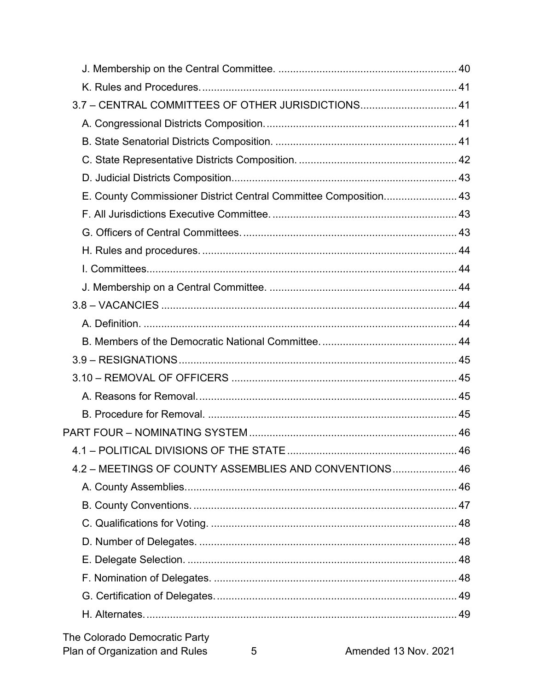| 3.7 - CENTRAL COMMITTEES OF OTHER JURISDICTIONS 41               |  |
|------------------------------------------------------------------|--|
|                                                                  |  |
|                                                                  |  |
|                                                                  |  |
|                                                                  |  |
| E. County Commissioner District Central Committee Composition 43 |  |
|                                                                  |  |
|                                                                  |  |
|                                                                  |  |
|                                                                  |  |
|                                                                  |  |
|                                                                  |  |
|                                                                  |  |
|                                                                  |  |
|                                                                  |  |
|                                                                  |  |
|                                                                  |  |
|                                                                  |  |
|                                                                  |  |
|                                                                  |  |
| 4.2 - MEETINGS OF COUNTY ASSEMBLIES AND CONVENTIONS 46           |  |
|                                                                  |  |
|                                                                  |  |
|                                                                  |  |
|                                                                  |  |
|                                                                  |  |
|                                                                  |  |
|                                                                  |  |
|                                                                  |  |
|                                                                  |  |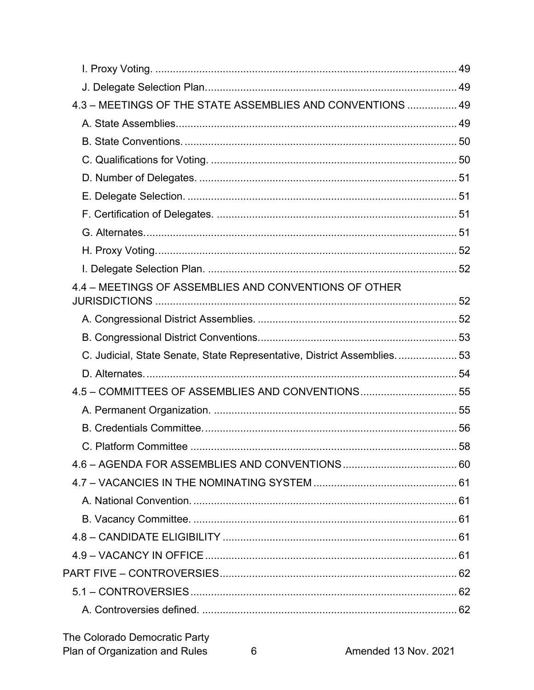| 4.3 - MEETINGS OF THE STATE ASSEMBLIES AND CONVENTIONS  49              |  |
|-------------------------------------------------------------------------|--|
|                                                                         |  |
|                                                                         |  |
|                                                                         |  |
|                                                                         |  |
|                                                                         |  |
|                                                                         |  |
|                                                                         |  |
|                                                                         |  |
|                                                                         |  |
| 4.4 - MEETINGS OF ASSEMBLIES AND CONVENTIONS OF OTHER                   |  |
|                                                                         |  |
|                                                                         |  |
| C. Judicial, State Senate, State Representative, District Assemblies 53 |  |
|                                                                         |  |
| 4.5 - COMMITTEES OF ASSEMBLIES AND CONVENTIONS 55                       |  |
|                                                                         |  |
|                                                                         |  |
|                                                                         |  |
|                                                                         |  |
|                                                                         |  |
|                                                                         |  |
|                                                                         |  |
|                                                                         |  |
|                                                                         |  |
|                                                                         |  |
|                                                                         |  |
|                                                                         |  |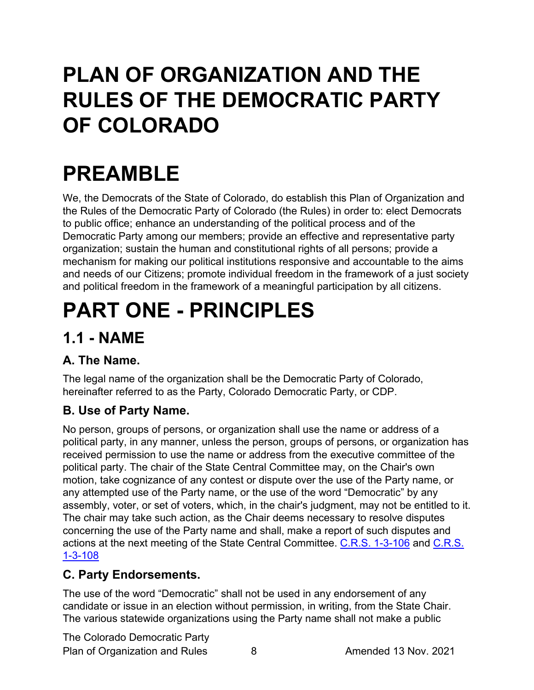# <span id="page-7-0"></span>**PLAN OF ORGANIZATION AND THE RULES OF THE DEMOCRATIC PARTY OF COLORADO**

# <span id="page-7-1"></span>**PREAMBLE**

We, the Democrats of the State of Colorado, do establish this Plan of Organization and the Rules of the Democratic Party of Colorado (the Rules) in order to: elect Democrats to public office; enhance an understanding of the political process and of the Democratic Party among our members; provide an effective and representative party organization; sustain the human and constitutional rights of all persons; provide a mechanism for making our political institutions responsive and accountable to the aims and needs of our Citizens; promote individual freedom in the framework of a just society and political freedom in the framework of a meaningful participation by all citizens.

# <span id="page-7-2"></span>**PART ONE - PRINCIPLES**

# <span id="page-7-3"></span>**1.1 - NAME**

# <span id="page-7-4"></span>**A. The Name.**

The legal name of the organization shall be the Democratic Party of Colorado, hereinafter referred to as the Party, Colorado Democratic Party, or CDP.

# <span id="page-7-5"></span>**B. Use of Party Name.**

No person, groups of persons, or organization shall use the name or address of a political party, in any manner, unless the person, groups of persons, or organization has received permission to use the name or address from the executive committee of the political party. The chair of the State Central Committee may, on the Chair's own motion, take cognizance of any contest or dispute over the use of the Party name, or any attempted use of the Party name, or the use of the word "Democratic" by any assembly, voter, or set of voters, which, in the chair's judgment, may not be entitled to it. The chair may take such action, as the Chair deems necessary to resolve disputes concerning the use of the Party name and shall, make a report of such disputes and actions at the next meeting of the State Central Committee. [C.R.S. 1-3-106](https://codes.findlaw.com/co/title-1-elections/co-rev-st-sect-1-3-106.html) and [C.R.S.](https://codes.findlaw.com/co/title-1-elections/co-rev-st-sect-1-3-108.html)  [1-3-108](https://codes.findlaw.com/co/title-1-elections/co-rev-st-sect-1-3-108.html)

# <span id="page-7-6"></span>**C. Party Endorsements.**

The use of the word "Democratic" shall not be used in any endorsement of any candidate or issue in an election without permission, in writing, from the State Chair. The various statewide organizations using the Party name shall not make a public

The Colorado Democratic Party Plan of Organization and Rules 8 Amended 13 Nov. 2021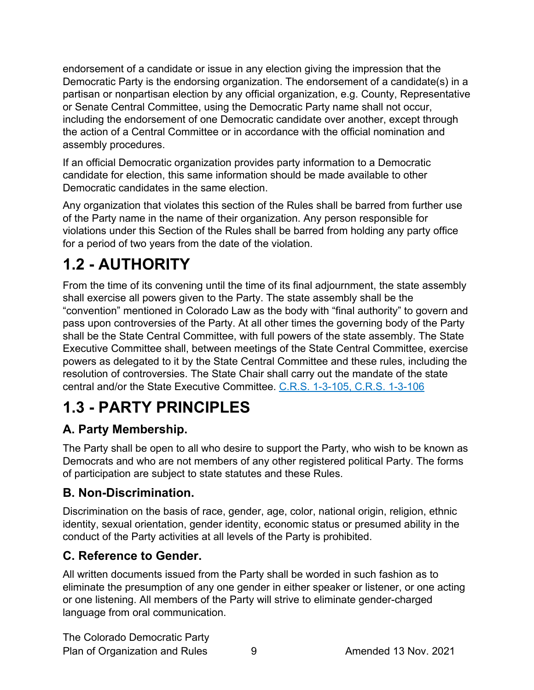endorsement of a candidate or issue in any election giving the impression that the Democratic Party is the endorsing organization. The endorsement of a candidate(s) in a partisan or nonpartisan election by any official organization, e.g. County, Representative or Senate Central Committee, using the Democratic Party name shall not occur, including the endorsement of one Democratic candidate over another, except through the action of a Central Committee or in accordance with the official nomination and assembly procedures.

If an official Democratic organization provides party information to a Democratic candidate for election, this same information should be made available to other Democratic candidates in the same election.

Any organization that violates this section of the Rules shall be barred from further use of the Party name in the name of their organization. Any person responsible for violations under this Section of the Rules shall be barred from holding any party office for a period of two years from the date of the violation.

# <span id="page-8-0"></span>**1.2 - AUTHORITY**

From the time of its convening until the time of its final adjournment, the state assembly shall exercise all powers given to the Party. The state assembly shall be the "convention" mentioned in Colorado Law as the body with "final authority" to govern and pass upon controversies of the Party. At all other times the governing body of the Party shall be the State Central Committee, with full powers of the state assembly. The State Executive Committee shall, between meetings of the State Central Committee, exercise powers as delegated to it by the State Central Committee and these rules, including the resolution of controversies. The State Chair shall carry out the mandate of the state central and/or the State Executive Committee. [C.R.S. 1-3-105,](https://codes.findlaw.com/co/title-1-elections/co-rev-st-sect-1-3-105.html) [C.R.S. 1-3-106](https://codes.findlaw.com/co/title-1-elections/co-rev-st-sect-1-3-106.html)

# <span id="page-8-1"></span>**1.3 - PARTY PRINCIPLES**

# <span id="page-8-2"></span>**A. Party Membership.**

The Party shall be open to all who desire to support the Party, who wish to be known as Democrats and who are not members of any other registered political Party. The forms of participation are subject to state statutes and these Rules.

# <span id="page-8-3"></span>**B. Non-Discrimination.**

Discrimination on the basis of race, gender, age, color, national origin, religion, ethnic identity, sexual orientation, gender identity, economic status or presumed ability in the conduct of the Party activities at all levels of the Party is prohibited.

# <span id="page-8-4"></span>**C. Reference to Gender.**

All written documents issued from the Party shall be worded in such fashion as to eliminate the presumption of any one gender in either speaker or listener, or one acting or one listening. All members of the Party will strive to eliminate gender-charged language from oral communication.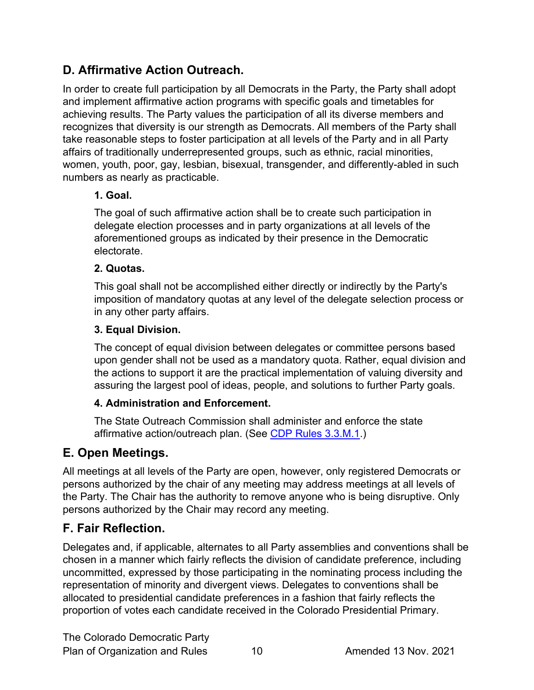# <span id="page-9-0"></span>**D. Affirmative Action Outreach.**

In order to create full participation by all Democrats in the Party, the Party shall adopt and implement affirmative action programs with specific goals and timetables for achieving results. The Party values the participation of all its diverse members and recognizes that diversity is our strength as Democrats. All members of the Party shall take reasonable steps to foster participation at all levels of the Party and in all Party affairs of traditionally underrepresented groups, such as ethnic, racial minorities, women, youth, poor, gay, lesbian, bisexual, transgender, and differently-abled in such numbers as nearly as practicable.

#### **1. Goal.**

The goal of such affirmative action shall be to create such participation in delegate election processes and in party organizations at all levels of the aforementioned groups as indicated by their presence in the Democratic electorate.

#### **2. Quotas.**

This goal shall not be accomplished either directly or indirectly by the Party's imposition of mandatory quotas at any level of the delegate selection process or in any other party affairs.

#### **3. Equal Division.**

The concept of equal division between delegates or committee persons based upon gender shall not be used as a mandatory quota. Rather, equal division and the actions to support it are the practical implementation of valuing diversity and assuring the largest pool of ideas, people, and solutions to further Party goals.

#### **4. Administration and Enforcement.**

The State Outreach Commission shall administer and enforce the state affirmative action/outreach plan. (See [CDP Rules 3.3.M.1.](#page-26-5))

# <span id="page-9-1"></span>**E. Open Meetings.**

All meetings at all levels of the Party are open, however, only registered Democrats or persons authorized by the chair of any meeting may address meetings at all levels of the Party. The Chair has the authority to remove anyone who is being disruptive. Only persons authorized by the Chair may record any meeting.

# <span id="page-9-2"></span>**F. Fair Reflection.**

Delegates and, if applicable, alternates to all Party assemblies and conventions shall be chosen in a manner which fairly reflects the division of candidate preference, including uncommitted, expressed by those participating in the nominating process including the representation of minority and divergent views. Delegates to conventions shall be allocated to presidential candidate preferences in a fashion that fairly reflects the proportion of votes each candidate received in the Colorado Presidential Primary.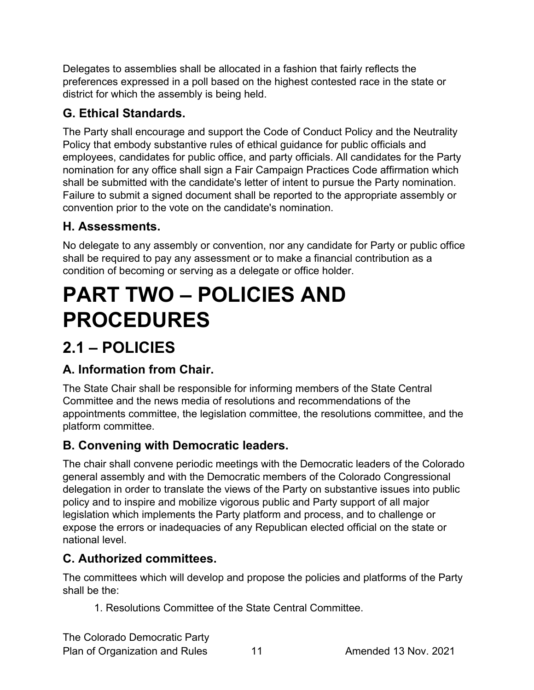Delegates to assemblies shall be allocated in a fashion that fairly reflects the preferences expressed in a poll based on the highest contested race in the state or district for which the assembly is being held.

# <span id="page-10-0"></span>**G. Ethical Standards.**

The Party shall encourage and support the Code of Conduct Policy and the Neutrality Policy that embody substantive rules of ethical guidance for public officials and employees, candidates for public office, and party officials. All candidates for the Party nomination for any office shall sign a Fair Campaign Practices Code affirmation which shall be submitted with the candidate's letter of intent to pursue the Party nomination. Failure to submit a signed document shall be reported to the appropriate assembly or convention prior to the vote on the candidate's nomination.

# <span id="page-10-1"></span>**H. Assessments.**

No delegate to any assembly or convention, nor any candidate for Party or public office shall be required to pay any assessment or to make a financial contribution as a condition of becoming or serving as a delegate or office holder.

# <span id="page-10-2"></span>**PART TWO – POLICIES AND PROCEDURES**

# <span id="page-10-3"></span>**2.1 – POLICIES**

# <span id="page-10-4"></span>**A. Information from Chair.**

The State Chair shall be responsible for informing members of the State Central Committee and the news media of resolutions and recommendations of the appointments committee, the legislation committee, the resolutions committee, and the platform committee.

# <span id="page-10-5"></span>**B. Convening with Democratic leaders.**

The chair shall convene periodic meetings with the Democratic leaders of the Colorado general assembly and with the Democratic members of the Colorado Congressional delegation in order to translate the views of the Party on substantive issues into public policy and to inspire and mobilize vigorous public and Party support of all major legislation which implements the Party platform and process, and to challenge or expose the errors or inadequacies of any Republican elected official on the state or national level.

# <span id="page-10-6"></span>**C. Authorized committees.**

The committees which will develop and propose the policies and platforms of the Party shall be the:

1. Resolutions Committee of the State Central Committee.

The Colorado Democratic Party Plan of Organization and Rules 11 Amended 13 Nov. 2021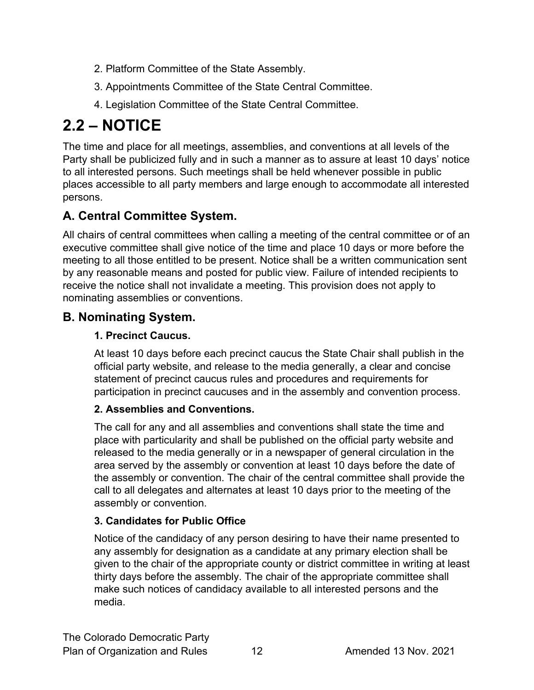- 2. Platform Committee of the State Assembly.
- 3. Appointments Committee of the State Central Committee.
- 4. Legislation Committee of the State Central Committee.

# <span id="page-11-0"></span>**2.2 – NOTICE**

The time and place for all meetings, assemblies, and conventions at all levels of the Party shall be publicized fully and in such a manner as to assure at least 10 days' notice to all interested persons. Such meetings shall be held whenever possible in public places accessible to all party members and large enough to accommodate all interested persons.

# <span id="page-11-1"></span>**A. Central Committee System.**

All chairs of central committees when calling a meeting of the central committee or of an executive committee shall give notice of the time and place 10 days or more before the meeting to all those entitled to be present. Notice shall be a written communication sent by any reasonable means and posted for public view. Failure of intended recipients to receive the notice shall not invalidate a meeting. This provision does not apply to nominating assemblies or conventions.

# <span id="page-11-2"></span>**B. Nominating System.**

#### **1. Precinct Caucus.**

At least 10 days before each precinct caucus the State Chair shall publish in the official party website, and release to the media generally, a clear and concise statement of precinct caucus rules and procedures and requirements for participation in precinct caucuses and in the assembly and convention process.

#### <span id="page-11-3"></span>**2. Assemblies and Conventions.**

The call for any and all assemblies and conventions shall state the time and place with particularity and shall be published on the official party website and released to the media generally or in a newspaper of general circulation in the area served by the assembly or convention at least 10 days before the date of the assembly or convention. The chair of the central committee shall provide the call to all delegates and alternates at least 10 days prior to the meeting of the assembly or convention.

#### **3. Candidates for Public Office**

Notice of the candidacy of any person desiring to have their name presented to any assembly for designation as a candidate at any primary election shall be given to the chair of the appropriate county or district committee in writing at least thirty days before the assembly. The chair of the appropriate committee shall make such notices of candidacy available to all interested persons and the media.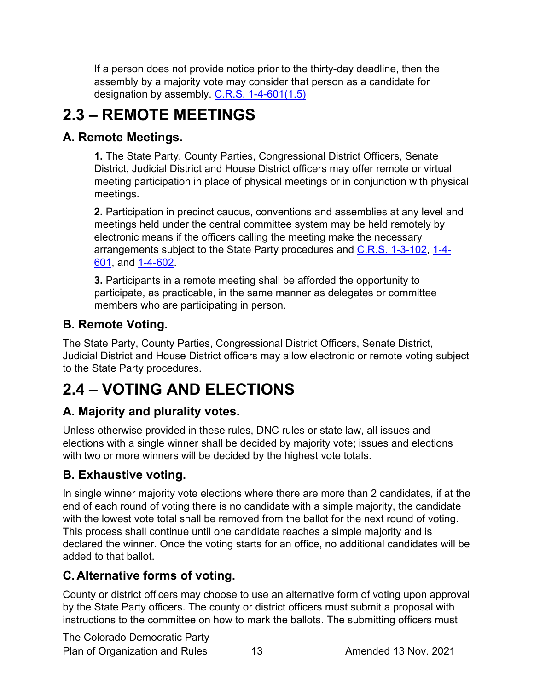If a person does not provide notice prior to the thirty-day deadline, then the assembly by a majority vote may consider that person as a candidate for designation by assembly. [C.R.S. 1-4-601\(1.5\)](https://codes.findlaw.com/co/title-1-elections/co-rev-st-sect-1-4-601.html)

# <span id="page-12-0"></span>**2.3 – REMOTE MEETINGS**

# <span id="page-12-1"></span>**A. Remote Meetings.**

**1.** The State Party, County Parties, Congressional District Officers, Senate District, Judicial District and House District officers may offer remote or virtual meeting participation in place of physical meetings or in conjunction with physical meetings.

**2.** Participation in precinct caucus, conventions and assemblies at any level and meetings held under the central committee system may be held remotely by electronic means if the officers calling the meeting make the necessary arrangements subject to the State Party procedures and [C.R.S. 1-3-102,](https://codes.findlaw.com/co/title-1-elections/co-rev-st-sect-1-3-102.html) [1-4-](https://codes.findlaw.com/co/title-1-elections/co-rev-st-sect-1-4-601.html) [601,](https://codes.findlaw.com/co/title-1-elections/co-rev-st-sect-1-4-601.html) and [1-4-602.](https://codes.findlaw.com/co/title-1-elections/co-rev-st-sect-1-4-602.html)

**3.** Participants in a remote meeting shall be afforded the opportunity to participate, as practicable, in the same manner as delegates or committee members who are participating in person.

# <span id="page-12-2"></span>**B. Remote Voting.**

The State Party, County Parties, Congressional District Officers, Senate District, Judicial District and House District officers may allow electronic or remote voting subject to the State Party procedures.

# <span id="page-12-3"></span>**2.4 – VOTING AND ELECTIONS**

# <span id="page-12-4"></span>**A. Majority and plurality votes.**

Unless otherwise provided in these rules, DNC rules or state law, all issues and elections with a single winner shall be decided by majority vote; issues and elections with two or more winners will be decided by the highest vote totals.

# <span id="page-12-5"></span>**B. Exhaustive voting.**

In single winner majority vote elections where there are more than 2 candidates, if at the end of each round of voting there is no candidate with a simple majority, the candidate with the lowest vote total shall be removed from the ballot for the next round of voting. This process shall continue until one candidate reaches a simple majority and is declared the winner. Once the voting starts for an office, no additional candidates will be added to that ballot.

# <span id="page-12-6"></span>**C.Alternative forms of voting.**

County or district officers may choose to use an alternative form of voting upon approval by the State Party officers. The county or district officers must submit a proposal with instructions to the committee on how to mark the ballots. The submitting officers must

The Colorado Democratic Party Plan of Organization and Rules 13 Amended 13 Nov. 2021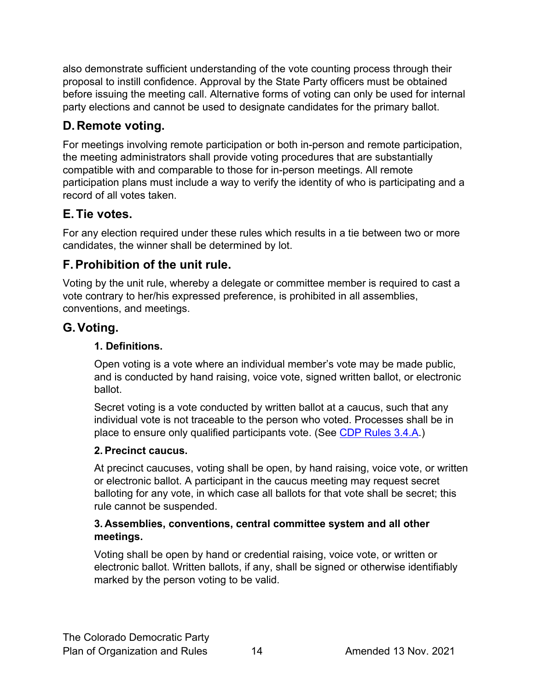also demonstrate sufficient understanding of the vote counting process through their proposal to instill confidence. Approval by the State Party officers must be obtained before issuing the meeting call. Alternative forms of voting can only be used for internal party elections and cannot be used to designate candidates for the primary ballot.

# <span id="page-13-0"></span>**D.Remote voting.**

For meetings involving remote participation or both in-person and remote participation, the meeting administrators shall provide voting procedures that are substantially compatible with and comparable to those for in-person meetings. All remote participation plans must include a way to verify the identity of who is participating and a record of all votes taken.

# <span id="page-13-1"></span>**E.Tie votes.**

For any election required under these rules which results in a tie between two or more candidates, the winner shall be determined by lot.

# <span id="page-13-2"></span>**F.Prohibition of the unit rule.**

Voting by the unit rule, whereby a delegate or committee member is required to cast a vote contrary to her/his expressed preference, is prohibited in all assemblies, conventions, and meetings.

# <span id="page-13-3"></span>**G.Voting.**

#### **1. Definitions.**

Open voting is a vote where an individual member's vote may be made public, and is conducted by hand raising, voice vote, signed written ballot, or electronic ballot.

Secret voting is a vote conducted by written ballot at a caucus, such that any individual vote is not traceable to the person who voted. Processes shall be in place to ensure only qualified participants vote. (See [CDP Rules 3.4.A.](#page-32-3))

# **2. Precinct caucus.**

At precinct caucuses, voting shall be open, by hand raising, voice vote, or written or electronic ballot. A participant in the caucus meeting may request secret balloting for any vote, in which case all ballots for that vote shall be secret; this rule cannot be suspended.

#### **3. Assemblies, conventions, central committee system and all other meetings.**

Voting shall be open by hand or credential raising, voice vote, or written or electronic ballot. Written ballots, if any, shall be signed or otherwise identifiably marked by the person voting to be valid.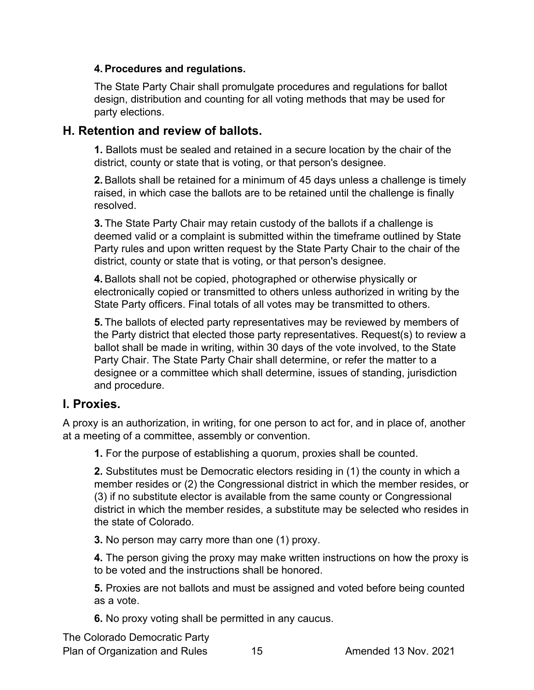#### **4. Procedures and regulations.**

The State Party Chair shall promulgate procedures and regulations for ballot design, distribution and counting for all voting methods that may be used for party elections.

#### <span id="page-14-0"></span>**H. Retention and review of ballots.**

**1.** Ballots must be sealed and retained in a secure location by the chair of the district, county or state that is voting, or that person's designee.

**2.** Ballots shall be retained for a minimum of 45 days unless a challenge is timely raised, in which case the ballots are to be retained until the challenge is finally resolved.

**3.** The State Party Chair may retain custody of the ballots if a challenge is deemed valid or a complaint is submitted within the timeframe outlined by State Party rules and upon written request by the State Party Chair to the chair of the district, county or state that is voting, or that person's designee.

**4.** Ballots shall not be copied, photographed or otherwise physically or electronically copied or transmitted to others unless authorized in writing by the State Party officers. Final totals of all votes may be transmitted to others.

**5.** The ballots of elected party representatives may be reviewed by members of the Party district that elected those party representatives. Request(s) to review a ballot shall be made in writing, within 30 days of the vote involved, to the State Party Chair. The State Party Chair shall determine, or refer the matter to a designee or a committee which shall determine, issues of standing, jurisdiction and procedure.

#### <span id="page-14-1"></span>**I. Proxies.**

A proxy is an authorization, in writing, for one person to act for, and in place of, another at a meeting of a committee, assembly or convention.

**1.** For the purpose of establishing a quorum, proxies shall be counted.

**2.** Substitutes must be Democratic electors residing in (1) the county in which a member resides or (2) the Congressional district in which the member resides, or (3) if no substitute elector is available from the same county or Congressional district in which the member resides, a substitute may be selected who resides in the state of Colorado.

**3.** No person may carry more than one (1) proxy.

**4.** The person giving the proxy may make written instructions on how the proxy is to be voted and the instructions shall be honored.

**5.** Proxies are not ballots and must be assigned and voted before being counted as a vote.

**6.** No proxy voting shall be permitted in any caucus.

The Colorado Democratic Party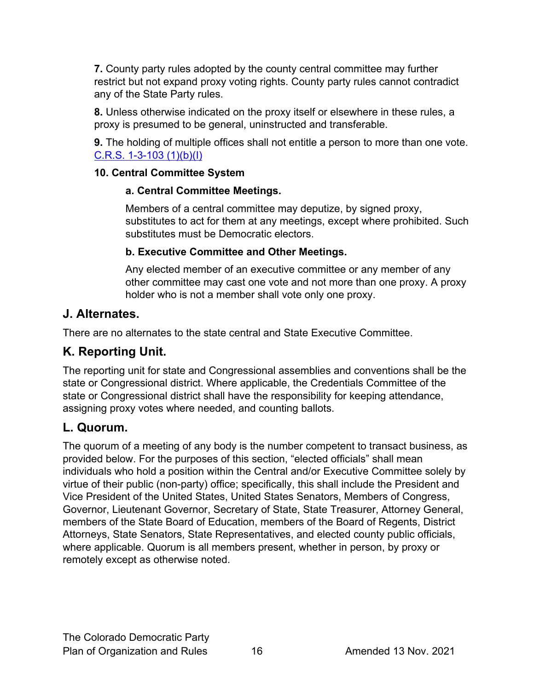**7.** County party rules adopted by the county central committee may further restrict but not expand proxy voting rights. County party rules cannot contradict any of the State Party rules.

**8.** Unless otherwise indicated on the proxy itself or elsewhere in these rules, a proxy is presumed to be general, uninstructed and transferable.

**9.** The holding of multiple offices shall not entitle a person to more than one vote. [C.R.S. 1-3-103 \(1\)\(b\)\(I\)](https://codes.findlaw.com/co/title-1-elections/co-rev-st-sect-1-3-103.html)

#### **10. Central Committee System**

#### **a. Central Committee Meetings.**

Members of a central committee may deputize, by signed proxy, substitutes to act for them at any meetings, except where prohibited. Such substitutes must be Democratic electors.

#### **b. Executive Committee and Other Meetings.**

Any elected member of an executive committee or any member of any other committee may cast one vote and not more than one proxy. A proxy holder who is not a member shall vote only one proxy.

### <span id="page-15-0"></span>**J. Alternates.**

There are no alternates to the state central and State Executive Committee.

# <span id="page-15-1"></span>**K. Reporting Unit.**

The reporting unit for state and Congressional assemblies and conventions shall be the state or Congressional district. Where applicable, the Credentials Committee of the state or Congressional district shall have the responsibility for keeping attendance, assigning proxy votes where needed, and counting ballots.

# <span id="page-15-2"></span>**L. Quorum.**

The quorum of a meeting of any body is the number competent to transact business, as provided below. For the purposes of this section, "elected officials" shall mean individuals who hold a position within the Central and/or Executive Committee solely by virtue of their public (non-party) office; specifically, this shall include the President and Vice President of the United States, United States Senators, Members of Congress, Governor, Lieutenant Governor, Secretary of State, State Treasurer, Attorney General, members of the State Board of Education, members of the Board of Regents, District Attorneys, State Senators, State Representatives, and elected county public officials, where applicable. Quorum is all members present, whether in person, by proxy or remotely except as otherwise noted.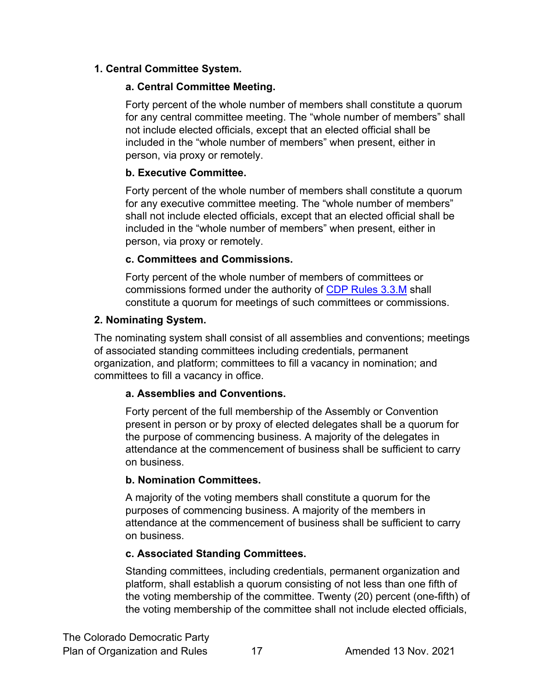#### **1. Central Committee System.**

#### **a. Central Committee Meeting.**

Forty percent of the whole number of members shall constitute a quorum for any central committee meeting. The "whole number of members" shall not include elected officials, except that an elected official shall be included in the "whole number of members" when present, either in person, via proxy or remotely.

#### **b. Executive Committee.**

Forty percent of the whole number of members shall constitute a quorum for any executive committee meeting. The "whole number of members" shall not include elected officials, except that an elected official shall be included in the "whole number of members" when present, either in person, via proxy or remotely.

#### **c. Committees and Commissions.**

Forty percent of the whole number of members of committees or commissions formed under the authority of [CDP Rules 3.3.M](#page-26-4) shall constitute a quorum for meetings of such committees or commissions.

#### **2. Nominating System.**

The nominating system shall consist of all assemblies and conventions; meetings of associated standing committees including credentials, permanent organization, and platform; committees to fill a vacancy in nomination; and committees to fill a vacancy in office.

#### **a. Assemblies and Conventions.**

Forty percent of the full membership of the Assembly or Convention present in person or by proxy of elected delegates shall be a quorum for the purpose of commencing business. A majority of the delegates in attendance at the commencement of business shall be sufficient to carry on business.

#### **b. Nomination Committees.**

A majority of the voting members shall constitute a quorum for the purposes of commencing business. A majority of the members in attendance at the commencement of business shall be sufficient to carry on business.

#### **c. Associated Standing Committees.**

Standing committees, including credentials, permanent organization and platform, shall establish a quorum consisting of not less than one fifth of the voting membership of the committee. Twenty (20) percent (one-fifth) of the voting membership of the committee shall not include elected officials,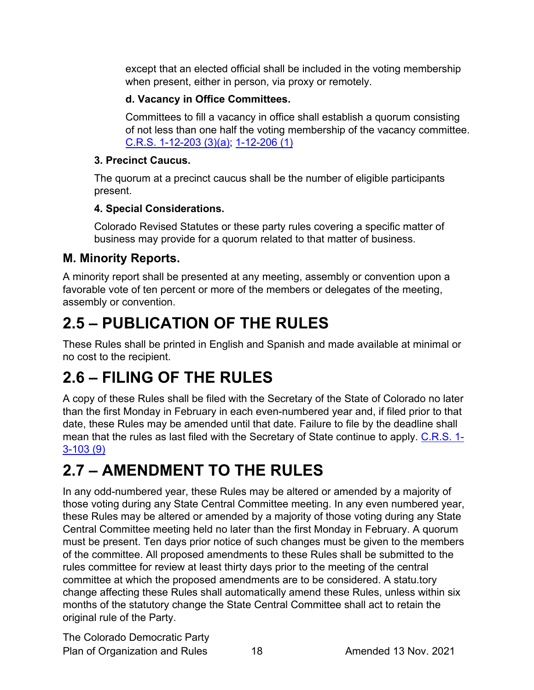except that an elected official shall be included in the voting membership when present, either in person, via proxy or remotely.

#### **d. Vacancy in Office Committees.**

Committees to fill a vacancy in office shall establish a quorum consisting of not less than one half the voting membership of the vacancy committee. [C.R.S. 1-12-203 \(3\)\(a\);](https://codes.findlaw.com/co/title-1-elections/co-rev-st-sect-1-12-203.html) [1-12-206 \(1\)](https://codes.findlaw.com/co/title-1-elections/co-rev-st-sect-1-12-206.html)

#### **3. Precinct Caucus.**

The quorum at a precinct caucus shall be the number of eligible participants present.

# **4. Special Considerations.**

Colorado Revised Statutes or these party rules covering a specific matter of business may provide for a quorum related to that matter of business.

# <span id="page-17-0"></span>**M. Minority Reports.**

A minority report shall be presented at any meeting, assembly or convention upon a favorable vote of ten percent or more of the members or delegates of the meeting, assembly or convention.

# <span id="page-17-1"></span>**2.5 – PUBLICATION OF THE RULES**

These Rules shall be printed in English and Spanish and made available at minimal or no cost to the recipient.

# <span id="page-17-2"></span>**2.6 – FILING OF THE RULES**

A copy of these Rules shall be filed with the Secretary of the State of Colorado no later than the first Monday in February in each even-numbered year and, if filed prior to that date, these Rules may be amended until that date. Failure to file by the deadline shall mean that the rules as last filed with the Secretary of State continue to apply. [C.R.S. 1-](https://codes.findlaw.com/co/title-1-elections/co-rev-st-sect-1-3-103.html) [3-103 \(9\)](https://codes.findlaw.com/co/title-1-elections/co-rev-st-sect-1-3-103.html)

# <span id="page-17-3"></span>**2.7 – AMENDMENT TO THE RULES**

In any odd-numbered year, these Rules may be altered or amended by a majority of those voting during any State Central Committee meeting. In any even numbered year, these Rules may be altered or amended by a majority of those voting during any State Central Committee meeting held no later than the first Monday in February. A quorum must be present. Ten days prior notice of such changes must be given to the members of the committee. All proposed amendments to these Rules shall be submitted to the rules committee for review at least thirty days prior to the meeting of the central committee at which the proposed amendments are to be considered. A statu.tory change affecting these Rules shall automatically amend these Rules, unless within six months of the statutory change the State Central Committee shall act to retain the original rule of the Party.

The Colorado Democratic Party Plan of Organization and Rules 18 Amended 13 Nov. 2021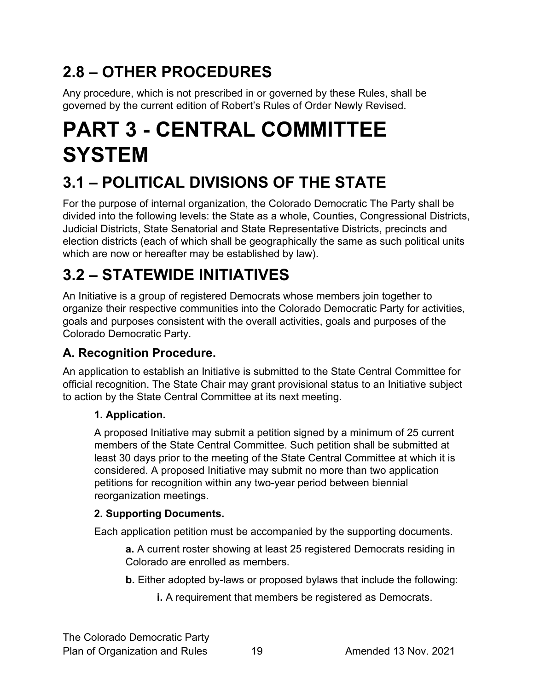# <span id="page-18-0"></span>**2.8 – OTHER PROCEDURES**

Any procedure, which is not prescribed in or governed by these Rules, shall be governed by the current edition of Robert's Rules of Order Newly Revised.

# <span id="page-18-1"></span>**PART 3 - CENTRAL COMMITTEE SYSTEM**

# <span id="page-18-2"></span>**3.1 – POLITICAL DIVISIONS OF THE STATE**

For the purpose of internal organization, the Colorado Democratic The Party shall be divided into the following levels: the State as a whole, Counties, Congressional Districts, Judicial Districts, State Senatorial and State Representative Districts, precincts and election districts (each of which shall be geographically the same as such political units which are now or hereafter may be established by law).

# <span id="page-18-3"></span>**3.2 – STATEWIDE INITIATIVES**

An Initiative is a group of registered Democrats whose members join together to organize their respective communities into the Colorado Democratic Party for activities, goals and purposes consistent with the overall activities, goals and purposes of the Colorado Democratic Party.

# <span id="page-18-4"></span>**A. Recognition Procedure.**

An application to establish an Initiative is submitted to the State Central Committee for official recognition. The State Chair may grant provisional status to an Initiative subject to action by the State Central Committee at its next meeting.

#### **1. Application.**

A proposed Initiative may submit a petition signed by a minimum of 25 current members of the State Central Committee. Such petition shall be submitted at least 30 days prior to the meeting of the State Central Committee at which it is considered. A proposed Initiative may submit no more than two application petitions for recognition within any two-year period between biennial reorganization meetings.

#### **2. Supporting Documents.**

Each application petition must be accompanied by the supporting documents.

**a.** A current roster showing at least 25 registered Democrats residing in Colorado are enrolled as members.

- **b.** Either adopted by-laws or proposed bylaws that include the following:
	- **i.** A requirement that members be registered as Democrats.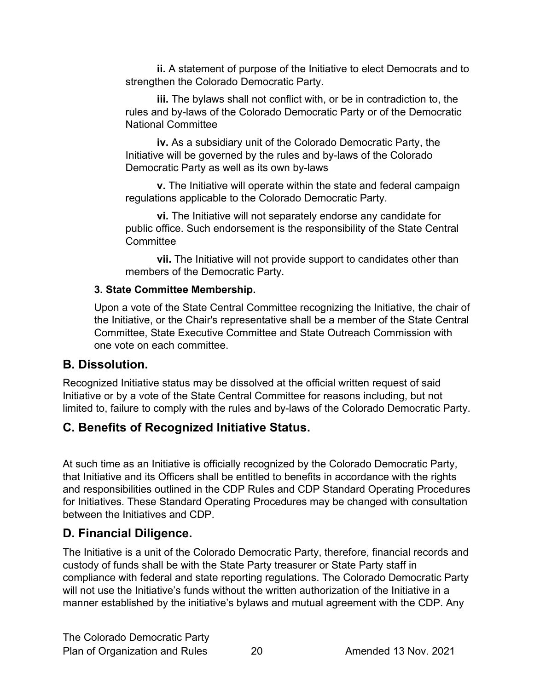**ii.** A statement of purpose of the Initiative to elect Democrats and to strengthen the Colorado Democratic Party.

**iii.** The bylaws shall not conflict with, or be in contradiction to, the rules and by-laws of the Colorado Democratic Party or of the Democratic National Committee

**iv.** As a subsidiary unit of the Colorado Democratic Party, the Initiative will be governed by the rules and by-laws of the Colorado Democratic Party as well as its own by-laws

**v.** The Initiative will operate within the state and federal campaign regulations applicable to the Colorado Democratic Party.

**vi.** The Initiative will not separately endorse any candidate for public office. Such endorsement is the responsibility of the State Central **Committee** 

**vii.** The Initiative will not provide support to candidates other than members of the Democratic Party.

#### **3. State Committee Membership.**

Upon a vote of the State Central Committee recognizing the Initiative, the chair of the Initiative, or the Chair's representative shall be a member of the State Central Committee, State Executive Committee and State Outreach Commission with one vote on each committee.

#### <span id="page-19-0"></span>**B. Dissolution.**

Recognized Initiative status may be dissolved at the official written request of said Initiative or by a vote of the State Central Committee for reasons including, but not limited to, failure to comply with the rules and by-laws of the Colorado Democratic Party.

# <span id="page-19-1"></span>**C. Benefits of Recognized Initiative Status.**

At such time as an Initiative is officially recognized by the Colorado Democratic Party, that Initiative and its Officers shall be entitled to benefits in accordance with the rights and responsibilities outlined in the CDP Rules and CDP Standard Operating Procedures for Initiatives. These Standard Operating Procedures may be changed with consultation between the Initiatives and CDP.

# <span id="page-19-2"></span>**D. Financial Diligence.**

The Initiative is a unit of the Colorado Democratic Party, therefore, financial records and custody of funds shall be with the State Party treasurer or State Party staff in compliance with federal and state reporting regulations. The Colorado Democratic Party will not use the Initiative's funds without the written authorization of the Initiative in a manner established by the initiative's bylaws and mutual agreement with the CDP. Any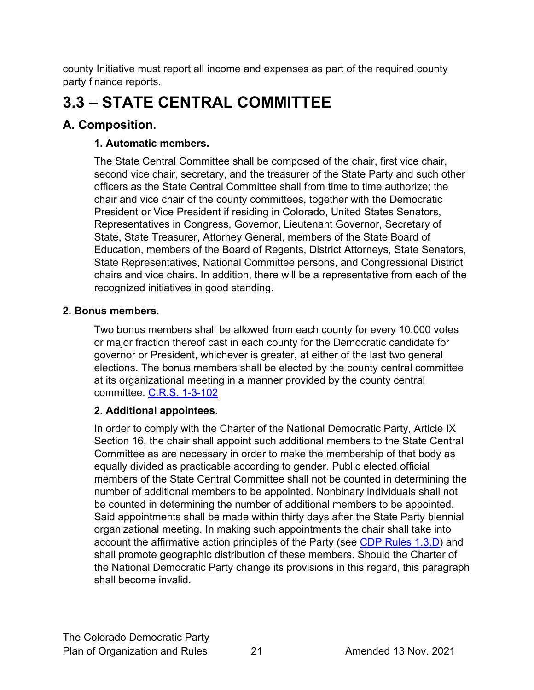county Initiative must report all income and expenses as part of the required county party finance reports.

# <span id="page-20-0"></span>**3.3 – STATE CENTRAL COMMITTEE**

# <span id="page-20-1"></span>**A. Composition.**

#### **1. Automatic members.**

The State Central Committee shall be composed of the chair, first vice chair, second vice chair, secretary, and the treasurer of the State Party and such other officers as the State Central Committee shall from time to time authorize; the chair and vice chair of the county committees, together with the Democratic President or Vice President if residing in Colorado, United States Senators, Representatives in Congress, Governor, Lieutenant Governor, Secretary of State, State Treasurer, Attorney General, members of the State Board of Education, members of the Board of Regents, District Attorneys, State Senators, State Representatives, National Committee persons, and Congressional District chairs and vice chairs. In addition, there will be a representative from each of the recognized initiatives in good standing.

#### **2. Bonus members.**

Two bonus members shall be allowed from each county for every 10,000 votes or major fraction thereof cast in each county for the Democratic candidate for governor or President, whichever is greater, at either of the last two general elections. The bonus members shall be elected by the county central committee at its organizational meeting in a manner provided by the county central committee. [C.R.S. 1-3-102](https://codes.findlaw.com/co/title-1-elections/co-rev-st-sect-1-3-102.html)

#### **2. Additional appointees.**

In order to comply with the Charter of the National Democratic Party, Article IX Section 16, the chair shall appoint such additional members to the State Central Committee as are necessary in order to make the membership of that body as equally divided as practicable according to gender. Public elected official members of the State Central Committee shall not be counted in determining the number of additional members to be appointed. Nonbinary individuals shall not be counted in determining the number of additional members to be appointed. Said appointments shall be made within thirty days after the State Party biennial organizational meeting. In making such appointments the chair shall take into account the affirmative action principles of the Party (see [CDP Rules 1.3.D\)](#page-9-0) and shall promote geographic distribution of these members. Should the Charter of the National Democratic Party change its provisions in this regard, this paragraph shall become invalid.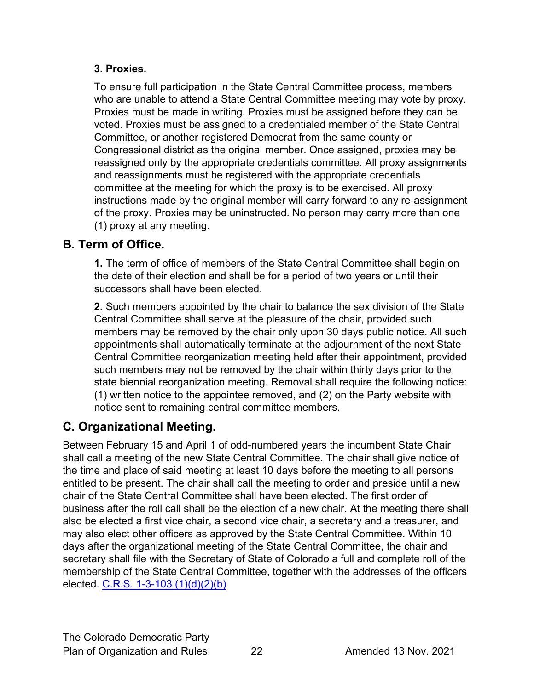#### **3. Proxies.**

To ensure full participation in the State Central Committee process, members who are unable to attend a State Central Committee meeting may vote by proxy. Proxies must be made in writing. Proxies must be assigned before they can be voted. Proxies must be assigned to a credentialed member of the State Central Committee, or another registered Democrat from the same county or Congressional district as the original member. Once assigned, proxies may be reassigned only by the appropriate credentials committee. All proxy assignments and reassignments must be registered with the appropriate credentials committee at the meeting for which the proxy is to be exercised. All proxy instructions made by the original member will carry forward to any re-assignment of the proxy. Proxies may be uninstructed. No person may carry more than one (1) proxy at any meeting.

# <span id="page-21-0"></span>**B. Term of Office.**

**1.** The term of office of members of the State Central Committee shall begin on the date of their election and shall be for a period of two years or until their successors shall have been elected.

**2.** Such members appointed by the chair to balance the sex division of the State Central Committee shall serve at the pleasure of the chair, provided such members may be removed by the chair only upon 30 days public notice. All such appointments shall automatically terminate at the adjournment of the next State Central Committee reorganization meeting held after their appointment, provided such members may not be removed by the chair within thirty days prior to the state biennial reorganization meeting. Removal shall require the following notice: (1) written notice to the appointee removed, and (2) on the Party website with notice sent to remaining central committee members.

# <span id="page-21-1"></span>**C. Organizational Meeting.**

Between February 15 and April 1 of odd-numbered years the incumbent State Chair shall call a meeting of the new State Central Committee. The chair shall give notice of the time and place of said meeting at least 10 days before the meeting to all persons entitled to be present. The chair shall call the meeting to order and preside until a new chair of the State Central Committee shall have been elected. The first order of business after the roll call shall be the election of a new chair. At the meeting there shall also be elected a first vice chair, a second vice chair, a secretary and a treasurer, and may also elect other officers as approved by the State Central Committee. Within 10 days after the organizational meeting of the State Central Committee, the chair and secretary shall file with the Secretary of State of Colorado a full and complete roll of the membership of the State Central Committee, together with the addresses of the officers elected. [C.R.S. 1-3-103 \(1\)\(d\)\(2\)\(b\)](https://codes.findlaw.com/co/title-1-elections/co-rev-st-sect-1-3-103.html)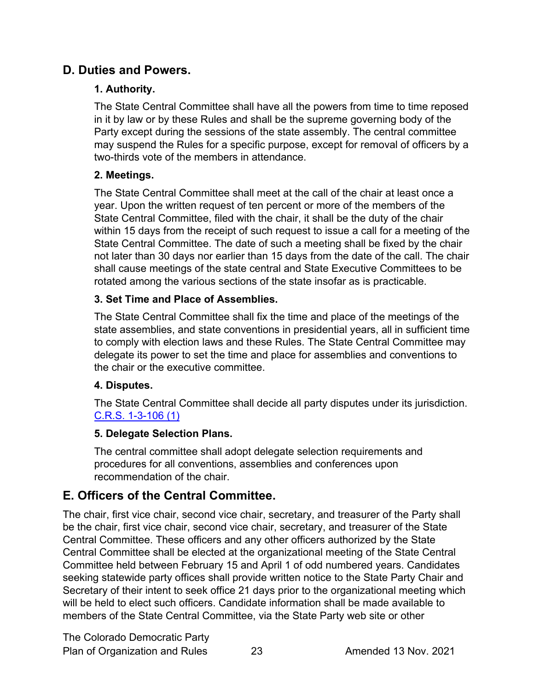#### <span id="page-22-0"></span>**D. Duties and Powers.**

#### **1. Authority.**

The State Central Committee shall have all the powers from time to time reposed in it by law or by these Rules and shall be the supreme governing body of the Party except during the sessions of the state assembly. The central committee may suspend the Rules for a specific purpose, except for removal of officers by a two-thirds vote of the members in attendance.

#### **2. Meetings.**

The State Central Committee shall meet at the call of the chair at least once a year. Upon the written request of ten percent or more of the members of the State Central Committee, filed with the chair, it shall be the duty of the chair within 15 days from the receipt of such request to issue a call for a meeting of the State Central Committee. The date of such a meeting shall be fixed by the chair not later than 30 days nor earlier than 15 days from the date of the call. The chair shall cause meetings of the state central and State Executive Committees to be rotated among the various sections of the state insofar as is practicable.

#### **3. Set Time and Place of Assemblies.**

The State Central Committee shall fix the time and place of the meetings of the state assemblies, and state conventions in presidential years, all in sufficient time to comply with election laws and these Rules. The State Central Committee may delegate its power to set the time and place for assemblies and conventions to the chair or the executive committee.

#### **4. Disputes.**

The State Central Committee shall decide all party disputes under its jurisdiction. [C.R.S. 1-3-106 \(1\)](https://codes.findlaw.com/co/title-1-elections/co-rev-st-sect-1-3-106.html)

#### **5. Delegate Selection Plans.**

The central committee shall adopt delegate selection requirements and procedures for all conventions, assemblies and conferences upon recommendation of the chair.

# <span id="page-22-1"></span>**E. Officers of the Central Committee.**

The chair, first vice chair, second vice chair, secretary, and treasurer of the Party shall be the chair, first vice chair, second vice chair, secretary, and treasurer of the State Central Committee. These officers and any other officers authorized by the State Central Committee shall be elected at the organizational meeting of the State Central Committee held between February 15 and April 1 of odd numbered years. Candidates seeking statewide party offices shall provide written notice to the State Party Chair and Secretary of their intent to seek office 21 days prior to the organizational meeting which will be held to elect such officers. Candidate information shall be made available to members of the State Central Committee, via the State Party web site or other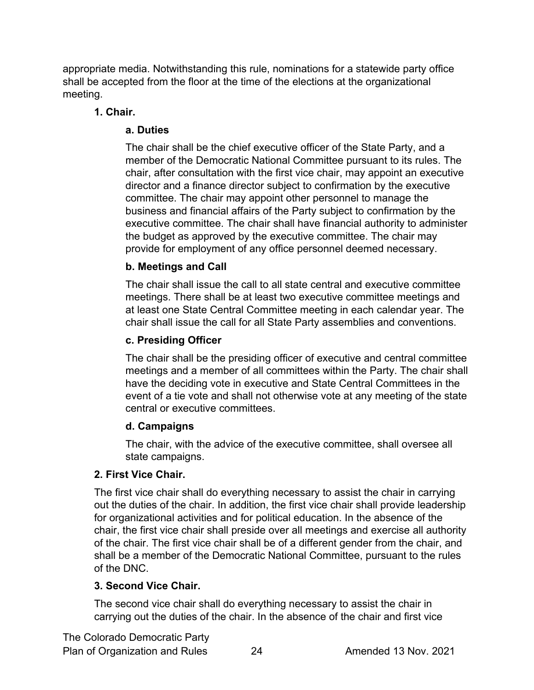appropriate media. Notwithstanding this rule, nominations for a statewide party office shall be accepted from the floor at the time of the elections at the organizational meeting.

#### **1. Chair.**

#### **a. Duties**

The chair shall be the chief executive officer of the State Party, and a member of the Democratic National Committee pursuant to its rules. The chair, after consultation with the first vice chair, may appoint an executive director and a finance director subject to confirmation by the executive committee. The chair may appoint other personnel to manage the business and financial affairs of the Party subject to confirmation by the executive committee. The chair shall have financial authority to administer the budget as approved by the executive committee. The chair may provide for employment of any office personnel deemed necessary.

#### **b. Meetings and Call**

The chair shall issue the call to all state central and executive committee meetings. There shall be at least two executive committee meetings and at least one State Central Committee meeting in each calendar year. The chair shall issue the call for all State Party assemblies and conventions.

#### **c. Presiding Officer**

The chair shall be the presiding officer of executive and central committee meetings and a member of all committees within the Party. The chair shall have the deciding vote in executive and State Central Committees in the event of a tie vote and shall not otherwise vote at any meeting of the state central or executive committees.

#### **d. Campaigns**

The chair, with the advice of the executive committee, shall oversee all state campaigns.

#### **2. First Vice Chair.**

The first vice chair shall do everything necessary to assist the chair in carrying out the duties of the chair. In addition, the first vice chair shall provide leadership for organizational activities and for political education. In the absence of the chair, the first vice chair shall preside over all meetings and exercise all authority of the chair. The first vice chair shall be of a different gender from the chair, and shall be a member of the Democratic National Committee, pursuant to the rules of the DNC.

#### **3. Second Vice Chair.**

The second vice chair shall do everything necessary to assist the chair in carrying out the duties of the chair. In the absence of the chair and first vice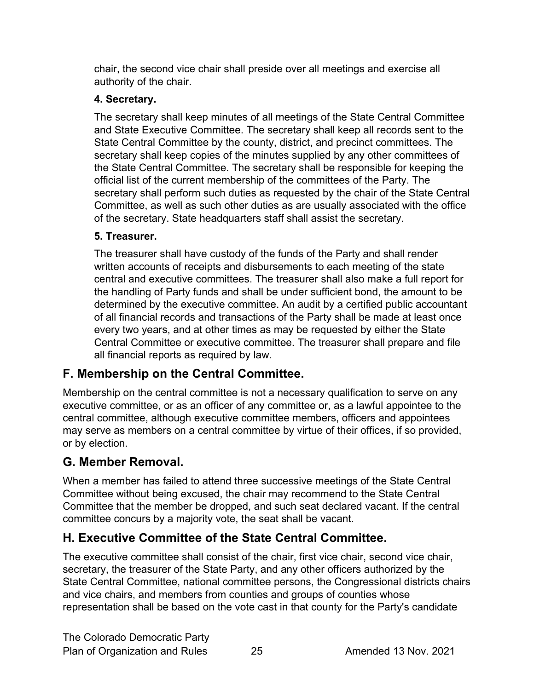chair, the second vice chair shall preside over all meetings and exercise all authority of the chair.

#### **4. Secretary.**

The secretary shall keep minutes of all meetings of the State Central Committee and State Executive Committee. The secretary shall keep all records sent to the State Central Committee by the county, district, and precinct committees. The secretary shall keep copies of the minutes supplied by any other committees of the State Central Committee. The secretary shall be responsible for keeping the official list of the current membership of the committees of the Party. The secretary shall perform such duties as requested by the chair of the State Central Committee, as well as such other duties as are usually associated with the office of the secretary. State headquarters staff shall assist the secretary.

#### **5. Treasurer.**

The treasurer shall have custody of the funds of the Party and shall render written accounts of receipts and disbursements to each meeting of the state central and executive committees. The treasurer shall also make a full report for the handling of Party funds and shall be under sufficient bond, the amount to be determined by the executive committee. An audit by a certified public accountant of all financial records and transactions of the Party shall be made at least once every two years, and at other times as may be requested by either the State Central Committee or executive committee. The treasurer shall prepare and file all financial reports as required by law.

# <span id="page-24-0"></span>**F. Membership on the Central Committee.**

Membership on the central committee is not a necessary qualification to serve on any executive committee, or as an officer of any committee or, as a lawful appointee to the central committee, although executive committee members, officers and appointees may serve as members on a central committee by virtue of their offices, if so provided, or by election.

# <span id="page-24-1"></span>**G. Member Removal.**

When a member has failed to attend three successive meetings of the State Central Committee without being excused, the chair may recommend to the State Central Committee that the member be dropped, and such seat declared vacant. If the central committee concurs by a majority vote, the seat shall be vacant.

# <span id="page-24-2"></span>**H. Executive Committee of the State Central Committee.**

The executive committee shall consist of the chair, first vice chair, second vice chair, secretary, the treasurer of the State Party, and any other officers authorized by the State Central Committee, national committee persons, the Congressional districts chairs and vice chairs, and members from counties and groups of counties whose representation shall be based on the vote cast in that county for the Party's candidate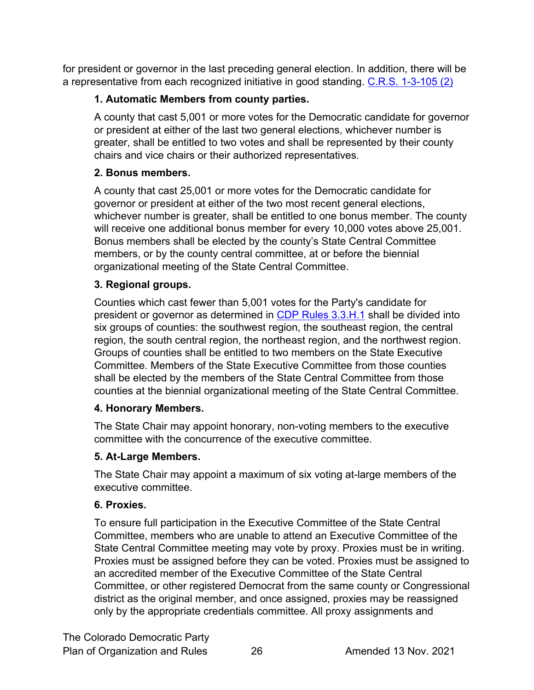<span id="page-25-0"></span>for president or governor in the last preceding general election. In addition, there will be a representative from each recognized initiative in good standing. [C.R.S. 1-3-105 \(2\)](https://codes.findlaw.com/co/title-1-elections/co-rev-st-sect-1-3-105.html)

#### **1. Automatic Members from county parties.**

A county that cast 5,001 or more votes for the Democratic candidate for governor or president at either of the last two general elections, whichever number is greater, shall be entitled to two votes and shall be represented by their county chairs and vice chairs or their authorized representatives.

#### **2. Bonus members.**

A county that cast 25,001 or more votes for the Democratic candidate for governor or president at either of the two most recent general elections, whichever number is greater, shall be entitled to one bonus member. The county will receive one additional bonus member for every 10,000 votes above 25,001. Bonus members shall be elected by the county's State Central Committee members, or by the county central committee, at or before the biennial organizational meeting of the State Central Committee.

#### **3. Regional groups.**

Counties which cast fewer than 5,001 votes for the Party's candidate for president or governor as determined in [CDP Rules 3.3.H.1](#page-25-0) shall be divided into six groups of counties: the southwest region, the southeast region, the central region, the south central region, the northeast region, and the northwest region. Groups of counties shall be entitled to two members on the State Executive Committee. Members of the State Executive Committee from those counties shall be elected by the members of the State Central Committee from those counties at the biennial organizational meeting of the State Central Committee.

#### **4. Honorary Members.**

The State Chair may appoint honorary, non-voting members to the executive committee with the concurrence of the executive committee.

#### **5. At-Large Members.**

The State Chair may appoint a maximum of six voting at-large members of the executive committee.

#### **6. Proxies.**

To ensure full participation in the Executive Committee of the State Central Committee, members who are unable to attend an Executive Committee of the State Central Committee meeting may vote by proxy. Proxies must be in writing. Proxies must be assigned before they can be voted. Proxies must be assigned to an accredited member of the Executive Committee of the State Central Committee, or other registered Democrat from the same county or Congressional district as the original member, and once assigned, proxies may be reassigned only by the appropriate credentials committee. All proxy assignments and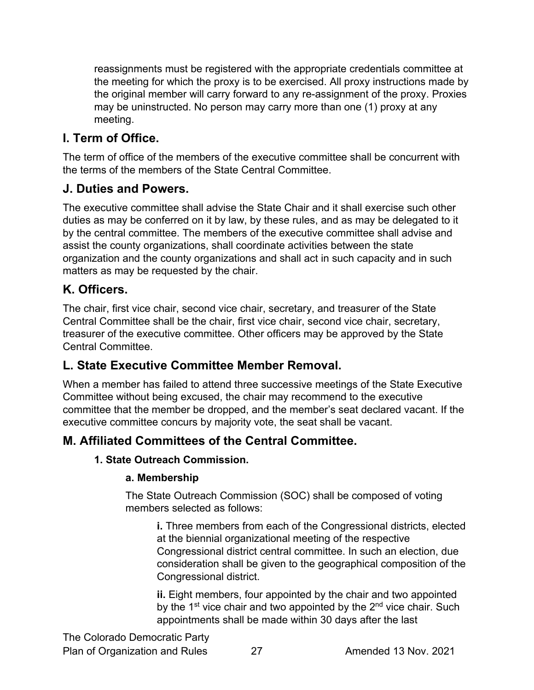reassignments must be registered with the appropriate credentials committee at the meeting for which the proxy is to be exercised. All proxy instructions made by the original member will carry forward to any re-assignment of the proxy. Proxies may be uninstructed. No person may carry more than one (1) proxy at any meeting.

# <span id="page-26-0"></span>**I. Term of Office.**

The term of office of the members of the executive committee shall be concurrent with the terms of the members of the State Central Committee.

#### <span id="page-26-1"></span>**J. Duties and Powers.**

The executive committee shall advise the State Chair and it shall exercise such other duties as may be conferred on it by law, by these rules, and as may be delegated to it by the central committee. The members of the executive committee shall advise and assist the county organizations, shall coordinate activities between the state organization and the county organizations and shall act in such capacity and in such matters as may be requested by the chair.

### <span id="page-26-2"></span>**K. Officers.**

The chair, first vice chair, second vice chair, secretary, and treasurer of the State Central Committee shall be the chair, first vice chair, second vice chair, secretary, treasurer of the executive committee. Other officers may be approved by the State Central Committee.

# <span id="page-26-3"></span>**L. State Executive Committee Member Removal.**

When a member has failed to attend three successive meetings of the State Executive Committee without being excused, the chair may recommend to the executive committee that the member be dropped, and the member's seat declared vacant. If the executive committee concurs by majority vote, the seat shall be vacant.

# <span id="page-26-5"></span><span id="page-26-4"></span>**M. Affiliated Committees of the Central Committee.**

#### **1. State Outreach Commission.**

#### **a. Membership**

The State Outreach Commission (SOC) shall be composed of voting members selected as follows:

**i.** Three members from each of the Congressional districts, elected at the biennial organizational meeting of the respective Congressional district central committee. In such an election, due consideration shall be given to the geographical composition of the Congressional district.

**ii.** Eight members, four appointed by the chair and two appointed by the  $1<sup>st</sup>$  vice chair and two appointed by the  $2<sup>nd</sup>$  vice chair. Such appointments shall be made within 30 days after the last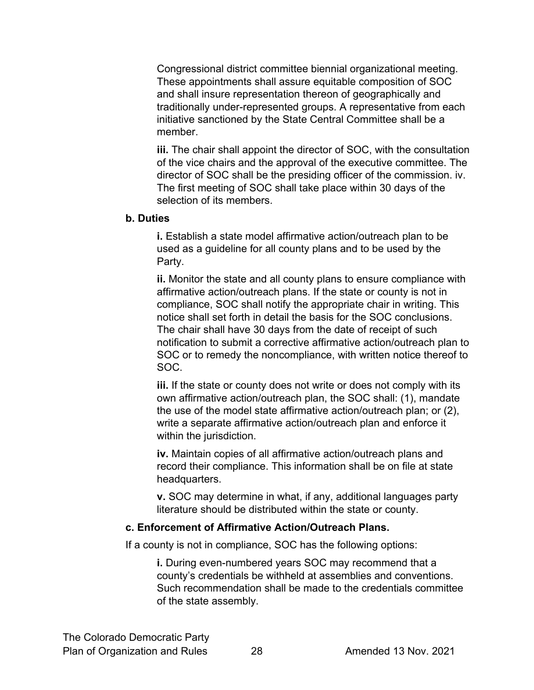Congressional district committee biennial organizational meeting. These appointments shall assure equitable composition of SOC and shall insure representation thereon of geographically and traditionally under-represented groups. A representative from each initiative sanctioned by the State Central Committee shall be a member.

**iii.** The chair shall appoint the director of SOC, with the consultation of the vice chairs and the approval of the executive committee. The director of SOC shall be the presiding officer of the commission. iv. The first meeting of SOC shall take place within 30 days of the selection of its members.

#### **b. Duties**

**i.** Establish a state model affirmative action/outreach plan to be used as a guideline for all county plans and to be used by the Party.

**ii.** Monitor the state and all county plans to ensure compliance with affirmative action/outreach plans. If the state or county is not in compliance, SOC shall notify the appropriate chair in writing. This notice shall set forth in detail the basis for the SOC conclusions. The chair shall have 30 days from the date of receipt of such notification to submit a corrective affirmative action/outreach plan to SOC or to remedy the noncompliance, with written notice thereof to SOC.

**iii.** If the state or county does not write or does not comply with its own affirmative action/outreach plan, the SOC shall: (1), mandate the use of the model state affirmative action/outreach plan; or (2), write a separate affirmative action/outreach plan and enforce it within the jurisdiction.

**iv.** Maintain copies of all affirmative action/outreach plans and record their compliance. This information shall be on file at state headquarters.

**v.** SOC may determine in what, if any, additional languages party literature should be distributed within the state or county.

#### **c. Enforcement of Affirmative Action/Outreach Plans.**

If a county is not in compliance, SOC has the following options:

**i.** During even-numbered years SOC may recommend that a county's credentials be withheld at assemblies and conventions. Such recommendation shall be made to the credentials committee of the state assembly.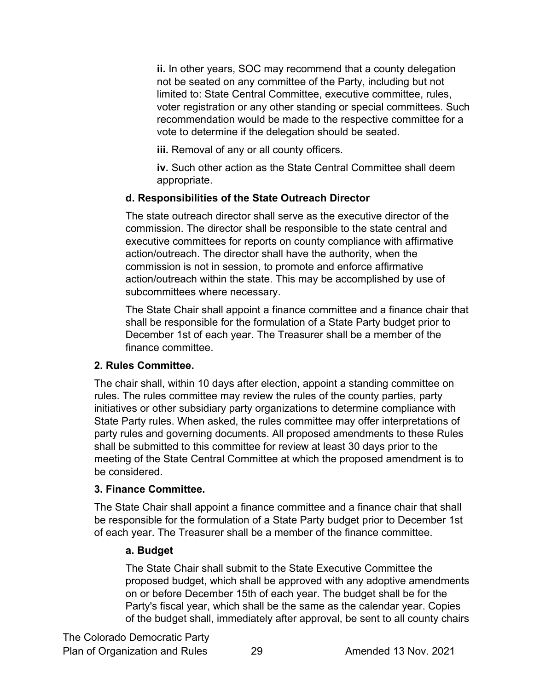**ii.** In other years, SOC may recommend that a county delegation not be seated on any committee of the Party, including but not limited to: State Central Committee, executive committee, rules, voter registration or any other standing or special committees. Such recommendation would be made to the respective committee for a vote to determine if the delegation should be seated.

**iii.** Removal of any or all county officers.

**iv.** Such other action as the State Central Committee shall deem appropriate.

#### **d. Responsibilities of the State Outreach Director**

The state outreach director shall serve as the executive director of the commission. The director shall be responsible to the state central and executive committees for reports on county compliance with affirmative action/outreach. The director shall have the authority, when the commission is not in session, to promote and enforce affirmative action/outreach within the state. This may be accomplished by use of subcommittees where necessary.

The State Chair shall appoint a finance committee and a finance chair that shall be responsible for the formulation of a State Party budget prior to December 1st of each year. The Treasurer shall be a member of the finance committee.

#### **2. Rules Committee.**

The chair shall, within 10 days after election, appoint a standing committee on rules. The rules committee may review the rules of the county parties, party initiatives or other subsidiary party organizations to determine compliance with State Party rules. When asked, the rules committee may offer interpretations of party rules and governing documents. All proposed amendments to these Rules shall be submitted to this committee for review at least 30 days prior to the meeting of the State Central Committee at which the proposed amendment is to be considered.

#### **3. Finance Committee.**

The State Chair shall appoint a finance committee and a finance chair that shall be responsible for the formulation of a State Party budget prior to December 1st of each year. The Treasurer shall be a member of the finance committee.

#### **a. Budget**

The State Chair shall submit to the State Executive Committee the proposed budget, which shall be approved with any adoptive amendments on or before December 15th of each year. The budget shall be for the Party's fiscal year, which shall be the same as the calendar year. Copies of the budget shall, immediately after approval, be sent to all county chairs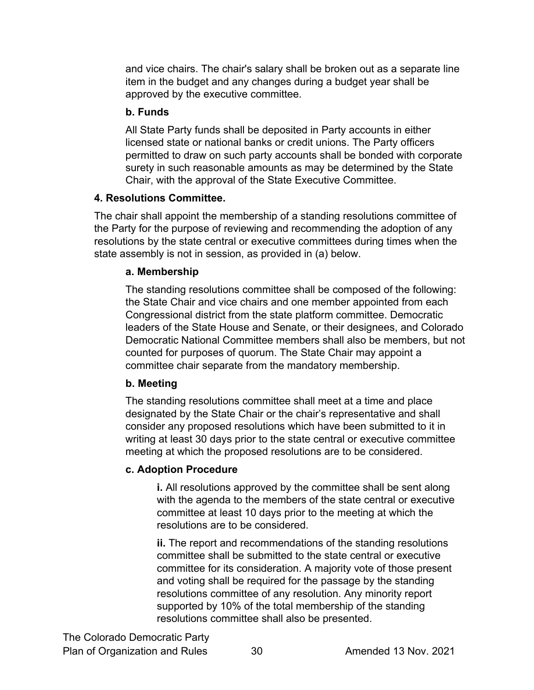and vice chairs. The chair's salary shall be broken out as a separate line item in the budget and any changes during a budget year shall be approved by the executive committee.

#### **b. Funds**

All State Party funds shall be deposited in Party accounts in either licensed state or national banks or credit unions. The Party officers permitted to draw on such party accounts shall be bonded with corporate surety in such reasonable amounts as may be determined by the State Chair, with the approval of the State Executive Committee.

#### **4. Resolutions Committee.**

The chair shall appoint the membership of a standing resolutions committee of the Party for the purpose of reviewing and recommending the adoption of any resolutions by the state central or executive committees during times when the state assembly is not in session, as provided in (a) below.

#### **a. Membership**

The standing resolutions committee shall be composed of the following: the State Chair and vice chairs and one member appointed from each Congressional district from the state platform committee. Democratic leaders of the State House and Senate, or their designees, and Colorado Democratic National Committee members shall also be members, but not counted for purposes of quorum. The State Chair may appoint a committee chair separate from the mandatory membership.

#### **b. Meeting**

The standing resolutions committee shall meet at a time and place designated by the State Chair or the chair's representative and shall consider any proposed resolutions which have been submitted to it in writing at least 30 days prior to the state central or executive committee meeting at which the proposed resolutions are to be considered.

#### **c. Adoption Procedure**

**i.** All resolutions approved by the committee shall be sent along with the agenda to the members of the state central or executive committee at least 10 days prior to the meeting at which the resolutions are to be considered.

**ii.** The report and recommendations of the standing resolutions committee shall be submitted to the state central or executive committee for its consideration. A majority vote of those present and voting shall be required for the passage by the standing resolutions committee of any resolution. Any minority report supported by 10% of the total membership of the standing resolutions committee shall also be presented.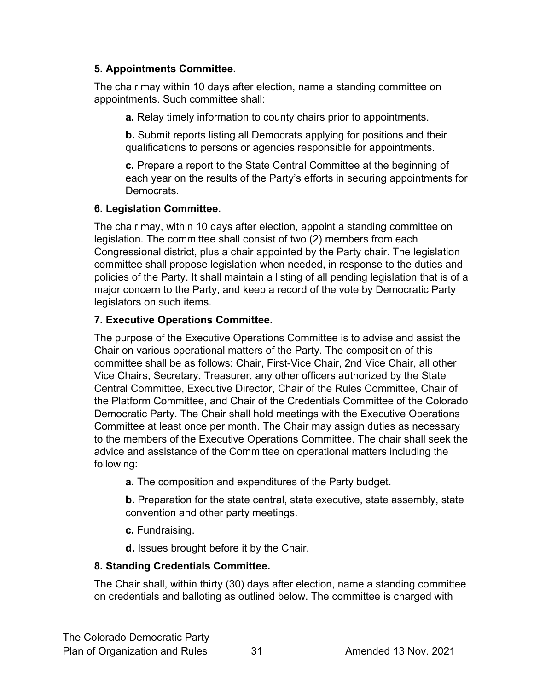#### **5. Appointments Committee.**

The chair may within 10 days after election, name a standing committee on appointments. Such committee shall:

**a.** Relay timely information to county chairs prior to appointments.

**b.** Submit reports listing all Democrats applying for positions and their qualifications to persons or agencies responsible for appointments.

**c.** Prepare a report to the State Central Committee at the beginning of each year on the results of the Party's efforts in securing appointments for Democrats.

#### **6. Legislation Committee.**

The chair may, within 10 days after election, appoint a standing committee on legislation. The committee shall consist of two (2) members from each Congressional district, plus a chair appointed by the Party chair. The legislation committee shall propose legislation when needed, in response to the duties and policies of the Party. It shall maintain a listing of all pending legislation that is of a major concern to the Party, and keep a record of the vote by Democratic Party legislators on such items.

#### **7. Executive Operations Committee.**

The purpose of the Executive Operations Committee is to advise and assist the Chair on various operational matters of the Party. The composition of this committee shall be as follows: Chair, First-Vice Chair, 2nd Vice Chair, all other Vice Chairs, Secretary, Treasurer, any other officers authorized by the State Central Committee, Executive Director, Chair of the Rules Committee, Chair of the Platform Committee, and Chair of the Credentials Committee of the Colorado Democratic Party. The Chair shall hold meetings with the Executive Operations Committee at least once per month. The Chair may assign duties as necessary to the members of the Executive Operations Committee. The chair shall seek the advice and assistance of the Committee on operational matters including the following:

**a.** The composition and expenditures of the Party budget.

**b.** Preparation for the state central, state executive, state assembly, state convention and other party meetings.

**c.** Fundraising.

**d.** Issues brought before it by the Chair.

#### **8. Standing Credentials Committee.**

The Chair shall, within thirty (30) days after election, name a standing committee on credentials and balloting as outlined below. The committee is charged with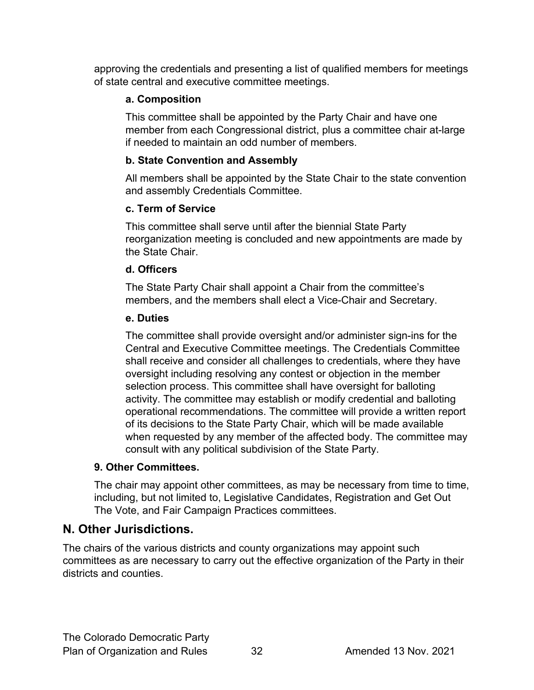approving the credentials and presenting a list of qualified members for meetings of state central and executive committee meetings.

#### **a. Composition**

This committee shall be appointed by the Party Chair and have one member from each Congressional district, plus a committee chair at-large if needed to maintain an odd number of members.

#### **b. State Convention and Assembly**

All members shall be appointed by the State Chair to the state convention and assembly Credentials Committee.

#### **c. Term of Service**

This committee shall serve until after the biennial State Party reorganization meeting is concluded and new appointments are made by the State Chair.

#### **d. Officers**

The State Party Chair shall appoint a Chair from the committee's members, and the members shall elect a Vice-Chair and Secretary.

#### **e. Duties**

The committee shall provide oversight and/or administer sign-ins for the Central and Executive Committee meetings. The Credentials Committee shall receive and consider all challenges to credentials, where they have oversight including resolving any contest or objection in the member selection process. This committee shall have oversight for balloting activity. The committee may establish or modify credential and balloting operational recommendations. The committee will provide a written report of its decisions to the State Party Chair, which will be made available when requested by any member of the affected body. The committee may consult with any political subdivision of the State Party.

#### **9. Other Committees.**

The chair may appoint other committees, as may be necessary from time to time, including, but not limited to, Legislative Candidates, Registration and Get Out The Vote, and Fair Campaign Practices committees.

#### <span id="page-31-0"></span>**N. Other Jurisdictions.**

The chairs of the various districts and county organizations may appoint such committees as are necessary to carry out the effective organization of the Party in their districts and counties.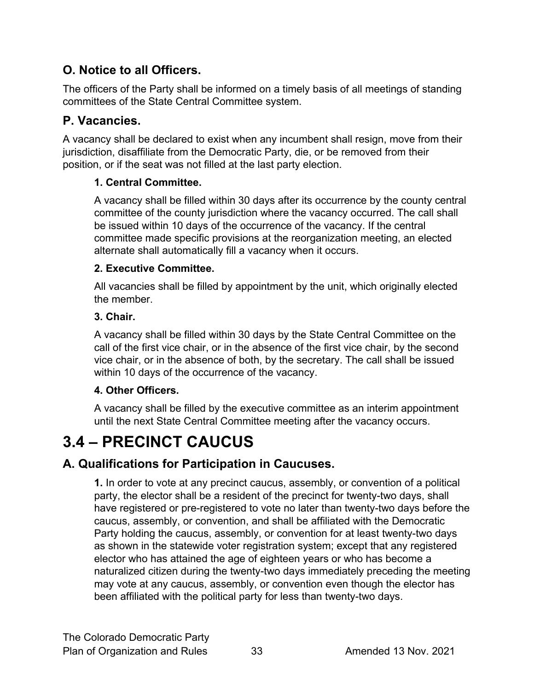# <span id="page-32-0"></span>**O. Notice to all Officers.**

The officers of the Party shall be informed on a timely basis of all meetings of standing committees of the State Central Committee system.

# <span id="page-32-1"></span>**P. Vacancies.**

A vacancy shall be declared to exist when any incumbent shall resign, move from their jurisdiction, disaffiliate from the Democratic Party, die, or be removed from their position, or if the seat was not filled at the last party election.

#### **1. Central Committee.**

A vacancy shall be filled within 30 days after its occurrence by the county central committee of the county jurisdiction where the vacancy occurred. The call shall be issued within 10 days of the occurrence of the vacancy. If the central committee made specific provisions at the reorganization meeting, an elected alternate shall automatically fill a vacancy when it occurs.

#### **2. Executive Committee.**

All vacancies shall be filled by appointment by the unit, which originally elected the member.

#### **3. Chair.**

A vacancy shall be filled within 30 days by the State Central Committee on the call of the first vice chair, or in the absence of the first vice chair, by the second vice chair, or in the absence of both, by the secretary. The call shall be issued within 10 days of the occurrence of the vacancy.

#### **4. Other Officers.**

A vacancy shall be filled by the executive committee as an interim appointment until the next State Central Committee meeting after the vacancy occurs.

# <span id="page-32-2"></span>**3.4 – PRECINCT CAUCUS**

# <span id="page-32-3"></span>**A. Qualifications for Participation in Caucuses.**

**1.** In order to vote at any precinct caucus, assembly, or convention of a political party, the elector shall be a resident of the precinct for twenty-two days, shall have registered or pre-registered to vote no later than twenty-two days before the caucus, assembly, or convention, and shall be affiliated with the Democratic Party holding the caucus, assembly, or convention for at least twenty-two days as shown in the statewide voter registration system; except that any registered elector who has attained the age of eighteen years or who has become a naturalized citizen during the twenty-two days immediately preceding the meeting may vote at any caucus, assembly, or convention even though the elector has been affiliated with the political party for less than twenty-two days.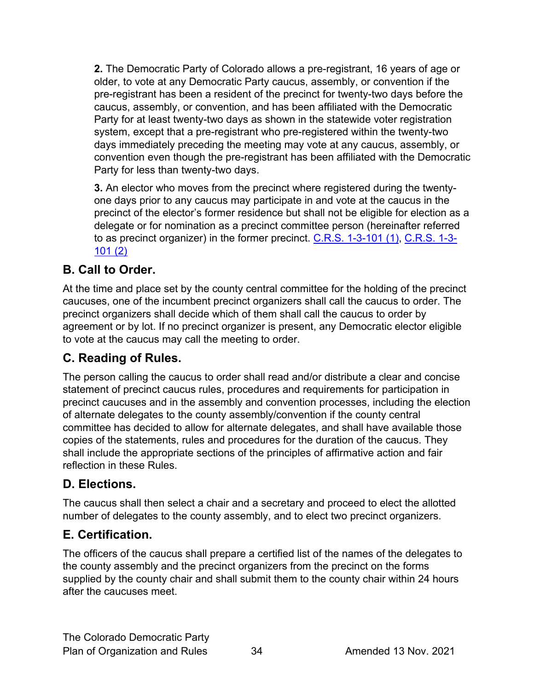**2.** The Democratic Party of Colorado allows a pre-registrant, 16 years of age or older, to vote at any Democratic Party caucus, assembly, or convention if the pre-registrant has been a resident of the precinct for twenty-two days before the caucus, assembly, or convention, and has been affiliated with the Democratic Party for at least twenty-two days as shown in the statewide voter registration system, except that a pre-registrant who pre-registered within the twenty-two days immediately preceding the meeting may vote at any caucus, assembly, or convention even though the pre-registrant has been affiliated with the Democratic Party for less than twenty-two days.

**3.** An elector who moves from the precinct where registered during the twentyone days prior to any caucus may participate in and vote at the caucus in the precinct of the elector's former residence but shall not be eligible for election as a delegate or for nomination as a precinct committee person (hereinafter referred to as precinct organizer) in the former precinct.  $C.R.S. 1-3-101$  (1),  $C.R.S. 1-3-101$ [101 \(2\)](https://codes.findlaw.com/co/title-1-elections/co-rev-st-sect-1-3-106.html)

# <span id="page-33-0"></span>**B. Call to Order.**

At the time and place set by the county central committee for the holding of the precinct caucuses, one of the incumbent precinct organizers shall call the caucus to order. The precinct organizers shall decide which of them shall call the caucus to order by agreement or by lot. If no precinct organizer is present, any Democratic elector eligible to vote at the caucus may call the meeting to order.

# <span id="page-33-1"></span>**C. Reading of Rules.**

The person calling the caucus to order shall read and/or distribute a clear and concise statement of precinct caucus rules, procedures and requirements for participation in precinct caucuses and in the assembly and convention processes, including the election of alternate delegates to the county assembly/convention if the county central committee has decided to allow for alternate delegates, and shall have available those copies of the statements, rules and procedures for the duration of the caucus. They shall include the appropriate sections of the principles of affirmative action and fair reflection in these Rules.

# <span id="page-33-2"></span>**D. Elections.**

The caucus shall then select a chair and a secretary and proceed to elect the allotted number of delegates to the county assembly, and to elect two precinct organizers.

# <span id="page-33-3"></span>**E. Certification.**

The officers of the caucus shall prepare a certified list of the names of the delegates to the county assembly and the precinct organizers from the precinct on the forms supplied by the county chair and shall submit them to the county chair within 24 hours after the caucuses meet.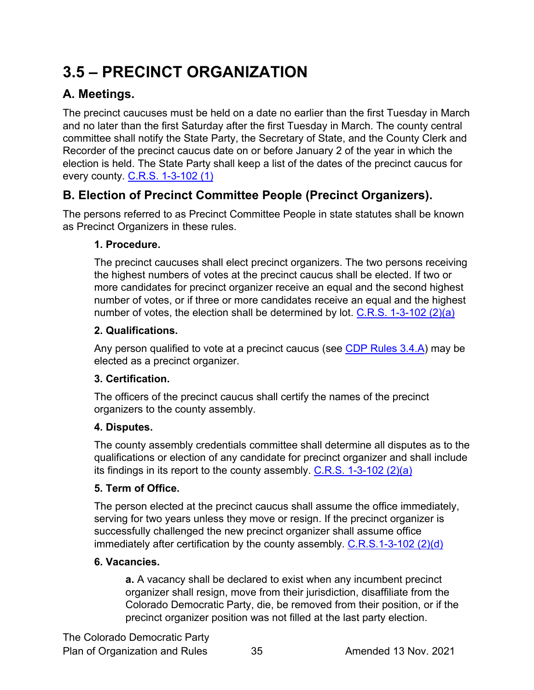# <span id="page-34-0"></span>**3.5 – PRECINCT ORGANIZATION**

# <span id="page-34-1"></span>**A. Meetings.**

The precinct caucuses must be held on a date no earlier than the first Tuesday in March and no later than the first Saturday after the first Tuesday in March. The county central committee shall notify the State Party, the Secretary of State, and the County Clerk and Recorder of the precinct caucus date on or before January 2 of the year in which the election is held. The State Party shall keep a list of the dates of the precinct caucus for every county. [C.R.S. 1-3-102 \(1\)](https://codes.findlaw.com/co/title-1-elections/co-rev-st-sect-1-3-102.html)

# <span id="page-34-2"></span>**B. Election of Precinct Committee People (Precinct Organizers).**

The persons referred to as Precinct Committee People in state statutes shall be known as Precinct Organizers in these rules.

#### **1. Procedure.**

The precinct caucuses shall elect precinct organizers. The two persons receiving the highest numbers of votes at the precinct caucus shall be elected. If two or more candidates for precinct organizer receive an equal and the second highest number of votes, or if three or more candidates receive an equal and the highest number of votes, the election shall be determined by lot. [C.R.S. 1-3-102 \(2\)\(a\)](https://codes.findlaw.com/co/title-1-elections/co-rev-st-sect-1-3-102.html)

#### **2. Qualifications.**

Any person qualified to vote at a precinct caucus (see [CDP Rules 3.4.A\)](#page-32-3) may be elected as a precinct organizer.

#### **3. Certification.**

The officers of the precinct caucus shall certify the names of the precinct organizers to the county assembly.

#### **4. Disputes.**

The county assembly credentials committee shall determine all disputes as to the qualifications or election of any candidate for precinct organizer and shall include its findings in its report to the county assembly. [C.R.S. 1-3-102 \(2\)\(a\)](https://codes.findlaw.com/co/title-1-elections/co-rev-st-sect-1-3-102.html)

#### **5. Term of Office.**

The person elected at the precinct caucus shall assume the office immediately, serving for two years unless they move or resign. If the precinct organizer is successfully challenged the new precinct organizer shall assume office immediately after certification by the county assembly. [C.R.S.1-3-102 \(2\)\(d\)](https://codes.findlaw.com/co/title-1-elections/co-rev-st-sect-1-3-102.html)

#### **6. Vacancies.**

**a.** A vacancy shall be declared to exist when any incumbent precinct organizer shall resign, move from their jurisdiction, disaffiliate from the Colorado Democratic Party, die, be removed from their position, or if the precinct organizer position was not filled at the last party election.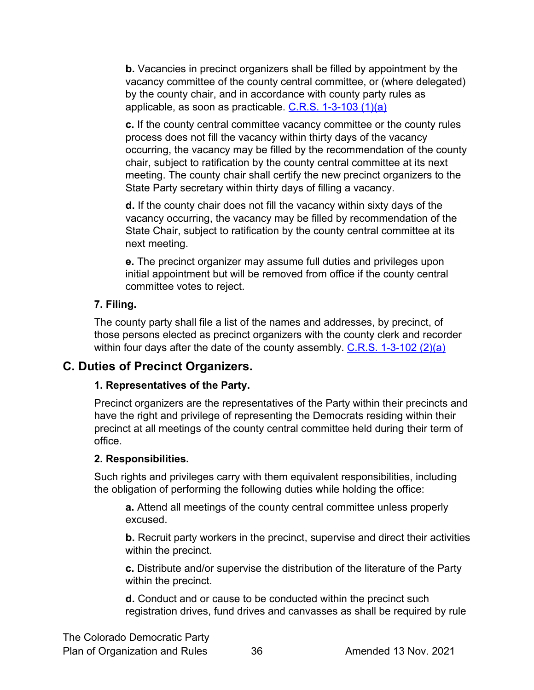**b.** Vacancies in precinct organizers shall be filled by appointment by the vacancy committee of the county central committee, or (where delegated) by the county chair, and in accordance with county party rules as applicable, as soon as practicable. [C.R.S. 1-3-103 \(1\)\(a\)](https://codes.findlaw.com/co/title-1-elections/co-rev-st-sect-1-3-103.html)

**c.** If the county central committee vacancy committee or the county rules process does not fill the vacancy within thirty days of the vacancy occurring, the vacancy may be filled by the recommendation of the county chair, subject to ratification by the county central committee at its next meeting. The county chair shall certify the new precinct organizers to the State Party secretary within thirty days of filling a vacancy.

**d.** If the county chair does not fill the vacancy within sixty days of the vacancy occurring, the vacancy may be filled by recommendation of the State Chair, subject to ratification by the county central committee at its next meeting.

**e.** The precinct organizer may assume full duties and privileges upon initial appointment but will be removed from office if the county central committee votes to reject.

#### **7. Filing.**

The county party shall file a list of the names and addresses, by precinct, of those persons elected as precinct organizers with the county clerk and recorder within four days after the date of the county assembly. [C.R.S. 1-3-102 \(2\)\(a\)](https://codes.findlaw.com/co/title-1-elections/co-rev-st-sect-1-3-102.html)

# <span id="page-35-0"></span>**C. Duties of Precinct Organizers.**

#### **1. Representatives of the Party.**

Precinct organizers are the representatives of the Party within their precincts and have the right and privilege of representing the Democrats residing within their precinct at all meetings of the county central committee held during their term of office.

#### **2. Responsibilities.**

Such rights and privileges carry with them equivalent responsibilities, including the obligation of performing the following duties while holding the office:

**a.** Attend all meetings of the county central committee unless properly excused.

**b.** Recruit party workers in the precinct, supervise and direct their activities within the precinct.

**c.** Distribute and/or supervise the distribution of the literature of the Party within the precinct.

**d.** Conduct and or cause to be conducted within the precinct such registration drives, fund drives and canvasses as shall be required by rule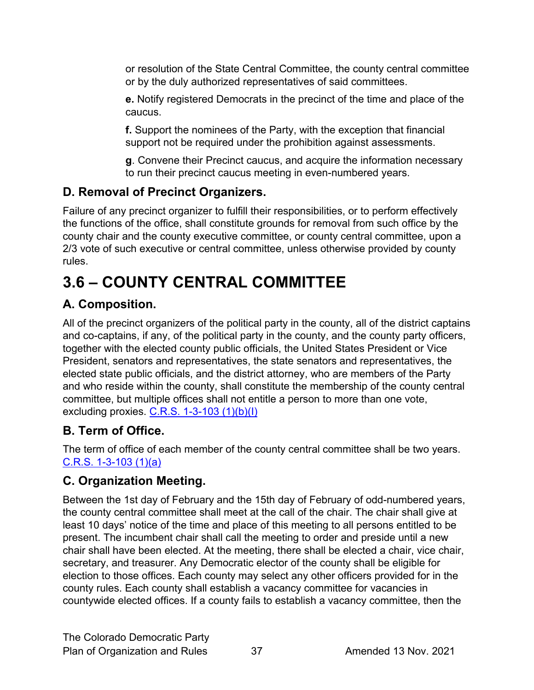or resolution of the State Central Committee, the county central committee or by the duly authorized representatives of said committees.

**e.** Notify registered Democrats in the precinct of the time and place of the caucus.

**f.** Support the nominees of the Party, with the exception that financial support not be required under the prohibition against assessments.

**g**. Convene their Precinct caucus, and acquire the information necessary to run their precinct caucus meeting in even-numbered years.

# <span id="page-36-0"></span>**D. Removal of Precinct Organizers.**

Failure of any precinct organizer to fulfill their responsibilities, or to perform effectively the functions of the office, shall constitute grounds for removal from such office by the county chair and the county executive committee, or county central committee, upon a 2/3 vote of such executive or central committee, unless otherwise provided by county rules.

# <span id="page-36-1"></span>**3.6 – COUNTY CENTRAL COMMITTEE**

# <span id="page-36-2"></span>**A. Composition.**

All of the precinct organizers of the political party in the county, all of the district captains and co-captains, if any, of the political party in the county, and the county party officers, together with the elected county public officials, the United States President or Vice President, senators and representatives, the state senators and representatives, the elected state public officials, and the district attorney, who are members of the Party and who reside within the county, shall constitute the membership of the county central committee, but multiple offices shall not entitle a person to more than one vote, excluding proxies. [C.R.S. 1-3-103 \(1\)\(b\)\(I\)](https://codes.findlaw.com/co/title-1-elections/co-rev-st-sect-1-3-103.html)

# <span id="page-36-3"></span>**B. Term of Office.**

The term of office of each member of the county central committee shall be two years. [C.R.S. 1-3-103 \(1\)\(a\)](https://codes.findlaw.com/co/title-1-elections/co-rev-st-sect-1-3-103.html)

# <span id="page-36-4"></span>**C. Organization Meeting.**

Between the 1st day of February and the 15th day of February of odd-numbered years, the county central committee shall meet at the call of the chair. The chair shall give at least 10 days' notice of the time and place of this meeting to all persons entitled to be present. The incumbent chair shall call the meeting to order and preside until a new chair shall have been elected. At the meeting, there shall be elected a chair, vice chair, secretary, and treasurer. Any Democratic elector of the county shall be eligible for election to those offices. Each county may select any other officers provided for in the county rules. Each county shall establish a vacancy committee for vacancies in countywide elected offices. If a county fails to establish a vacancy committee, then the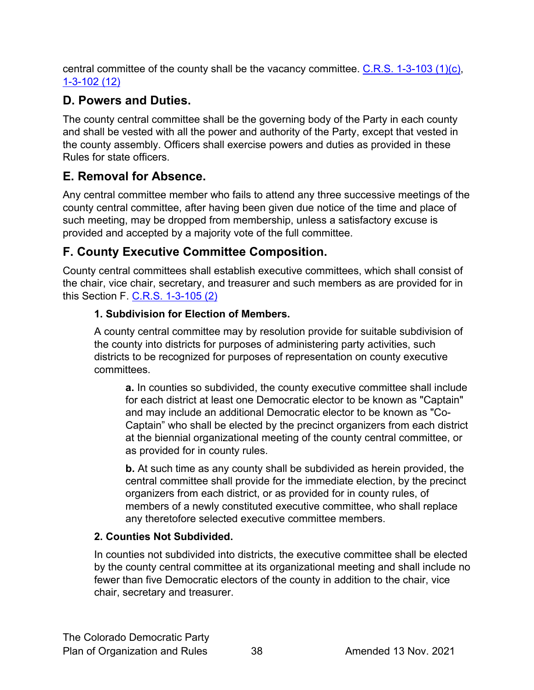central committee of the county shall be the vacancy committee.  $C.R.S. 1-3-103 (1)(c)$ , [1-3-102](https://codes.findlaw.com/co/title-1-elections/co-rev-st-sect-1-3-102.html) (12)

# <span id="page-37-0"></span>**D. Powers and Duties.**

The county central committee shall be the governing body of the Party in each county and shall be vested with all the power and authority of the Party, except that vested in the county assembly. Officers shall exercise powers and duties as provided in these Rules for state officers.

# <span id="page-37-1"></span>**E. Removal for Absence.**

Any central committee member who fails to attend any three successive meetings of the county central committee, after having been given due notice of the time and place of such meeting, may be dropped from membership, unless a satisfactory excuse is provided and accepted by a majority vote of the full committee.

# <span id="page-37-2"></span>**F. County Executive Committee Composition.**

County central committees shall establish executive committees, which shall consist of the chair, vice chair, secretary, and treasurer and such members as are provided for in this Section F. [C.R.S. 1-3-105 \(2\)](https://codes.findlaw.com/co/title-1-elections/co-rev-st-sect-1-3-105.html)

#### **1. Subdivision for Election of Members.**

A county central committee may by resolution provide for suitable subdivision of the county into districts for purposes of administering party activities, such districts to be recognized for purposes of representation on county executive committees.

**a.** In counties so subdivided, the county executive committee shall include for each district at least one Democratic elector to be known as "Captain" and may include an additional Democratic elector to be known as "Co-Captain" who shall be elected by the precinct organizers from each district at the biennial organizational meeting of the county central committee, or as provided for in county rules.

**b.** At such time as any county shall be subdivided as herein provided, the central committee shall provide for the immediate election, by the precinct organizers from each district, or as provided for in county rules, of members of a newly constituted executive committee, who shall replace any theretofore selected executive committee members.

# **2. Counties Not Subdivided.**

In counties not subdivided into districts, the executive committee shall be elected by the county central committee at its organizational meeting and shall include no fewer than five Democratic electors of the county in addition to the chair, vice chair, secretary and treasurer.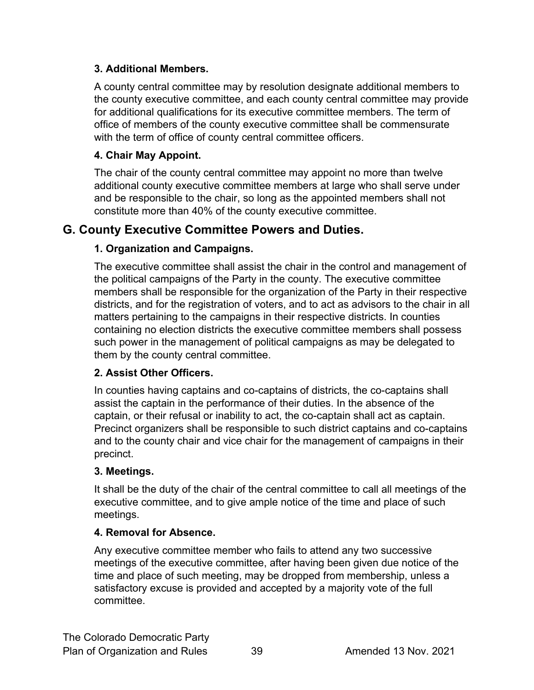#### **3. Additional Members.**

A county central committee may by resolution designate additional members to the county executive committee, and each county central committee may provide for additional qualifications for its executive committee members. The term of office of members of the county executive committee shall be commensurate with the term of office of county central committee officers.

#### **4. Chair May Appoint.**

The chair of the county central committee may appoint no more than twelve additional county executive committee members at large who shall serve under and be responsible to the chair, so long as the appointed members shall not constitute more than 40% of the county executive committee.

#### <span id="page-38-0"></span>**G. County Executive Committee Powers and Duties.**

#### **1. Organization and Campaigns.**

The executive committee shall assist the chair in the control and management of the political campaigns of the Party in the county. The executive committee members shall be responsible for the organization of the Party in their respective districts, and for the registration of voters, and to act as advisors to the chair in all matters pertaining to the campaigns in their respective districts. In counties containing no election districts the executive committee members shall possess such power in the management of political campaigns as may be delegated to them by the county central committee.

#### **2. Assist Other Officers.**

In counties having captains and co-captains of districts, the co-captains shall assist the captain in the performance of their duties. In the absence of the captain, or their refusal or inability to act, the co-captain shall act as captain. Precinct organizers shall be responsible to such district captains and co-captains and to the county chair and vice chair for the management of campaigns in their precinct.

#### **3. Meetings.**

It shall be the duty of the chair of the central committee to call all meetings of the executive committee, and to give ample notice of the time and place of such meetings.

#### **4. Removal for Absence.**

Any executive committee member who fails to attend any two successive meetings of the executive committee, after having been given due notice of the time and place of such meeting, may be dropped from membership, unless a satisfactory excuse is provided and accepted by a majority vote of the full committee.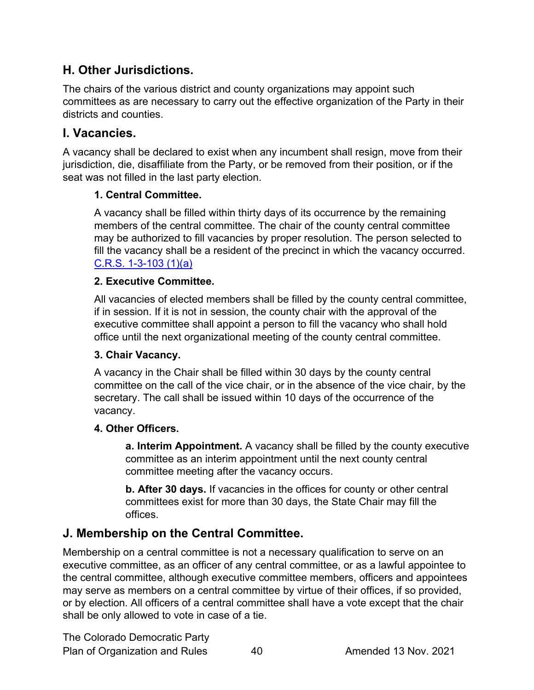# <span id="page-39-0"></span>**H. Other Jurisdictions.**

The chairs of the various district and county organizations may appoint such committees as are necessary to carry out the effective organization of the Party in their districts and counties.

# <span id="page-39-1"></span>**I. Vacancies.**

A vacancy shall be declared to exist when any incumbent shall resign, move from their jurisdiction, die, disaffiliate from the Party, or be removed from their position, or if the seat was not filled in the last party election.

#### **1. Central Committee.**

A vacancy shall be filled within thirty days of its occurrence by the remaining members of the central committee. The chair of the county central committee may be authorized to fill vacancies by proper resolution. The person selected to fill the vacancy shall be a resident of the precinct in which the vacancy occurred. [C.R.S. 1-3-103 \(1\)\(a\)](https://codes.findlaw.com/co/title-1-elections/co-rev-st-sect-1-3-103.html)

#### **2. Executive Committee.**

All vacancies of elected members shall be filled by the county central committee, if in session. If it is not in session, the county chair with the approval of the executive committee shall appoint a person to fill the vacancy who shall hold office until the next organizational meeting of the county central committee.

#### **3. Chair Vacancy.**

A vacancy in the Chair shall be filled within 30 days by the county central committee on the call of the vice chair, or in the absence of the vice chair, by the secretary. The call shall be issued within 10 days of the occurrence of the vacancy.

#### **4. Other Officers.**

**a. Interim Appointment.** A vacancy shall be filled by the county executive committee as an interim appointment until the next county central committee meeting after the vacancy occurs.

**b. After 30 days.** If vacancies in the offices for county or other central committees exist for more than 30 days, the State Chair may fill the offices.

# <span id="page-39-2"></span>**J. Membership on the Central Committee.**

Membership on a central committee is not a necessary qualification to serve on an executive committee, as an officer of any central committee, or as a lawful appointee to the central committee, although executive committee members, officers and appointees may serve as members on a central committee by virtue of their offices, if so provided, or by election. All officers of a central committee shall have a vote except that the chair shall be only allowed to vote in case of a tie.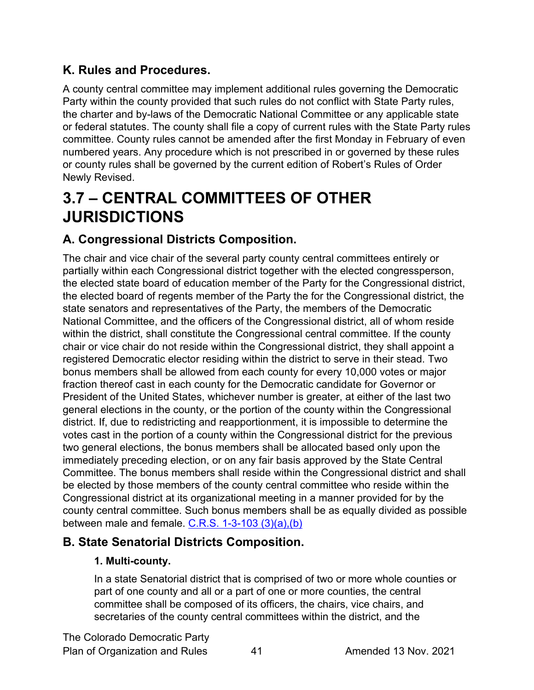# <span id="page-40-0"></span>**K. Rules and Procedures.**

A county central committee may implement additional rules governing the Democratic Party within the county provided that such rules do not conflict with State Party rules, the charter and by-laws of the Democratic National Committee or any applicable state or federal statutes. The county shall file a copy of current rules with the State Party rules committee. County rules cannot be amended after the first Monday in February of even numbered years. Any procedure which is not prescribed in or governed by these rules or county rules shall be governed by the current edition of Robert's Rules of Order Newly Revised.

# <span id="page-40-1"></span>**3.7 – CENTRAL COMMITTEES OF OTHER JURISDICTIONS**

# <span id="page-40-2"></span>**A. Congressional Districts Composition.**

The chair and vice chair of the several party county central committees entirely or partially within each Congressional district together with the elected congressperson, the elected state board of education member of the Party for the Congressional district, the elected board of regents member of the Party the for the Congressional district, the state senators and representatives of the Party, the members of the Democratic National Committee, and the officers of the Congressional district, all of whom reside within the district, shall constitute the Congressional central committee. If the county chair or vice chair do not reside within the Congressional district, they shall appoint a registered Democratic elector residing within the district to serve in their stead. Two bonus members shall be allowed from each county for every 10,000 votes or major fraction thereof cast in each county for the Democratic candidate for Governor or President of the United States, whichever number is greater, at either of the last two general elections in the county, or the portion of the county within the Congressional district. If, due to redistricting and reapportionment, it is impossible to determine the votes cast in the portion of a county within the Congressional district for the previous two general elections, the bonus members shall be allocated based only upon the immediately preceding election, or on any fair basis approved by the State Central Committee. The bonus members shall reside within the Congressional district and shall be elected by those members of the county central committee who reside within the Congressional district at its organizational meeting in a manner provided for by the county central committee. Such bonus members shall be as equally divided as possible between male and female. C.R.S.  $1-3-103$   $(3)(a)$ , (b)

# <span id="page-40-3"></span>**B. State Senatorial Districts Composition.**

#### **1. Multi-county.**

In a state Senatorial district that is comprised of two or more whole counties or part of one county and all or a part of one or more counties, the central committee shall be composed of its officers, the chairs, vice chairs, and secretaries of the county central committees within the district, and the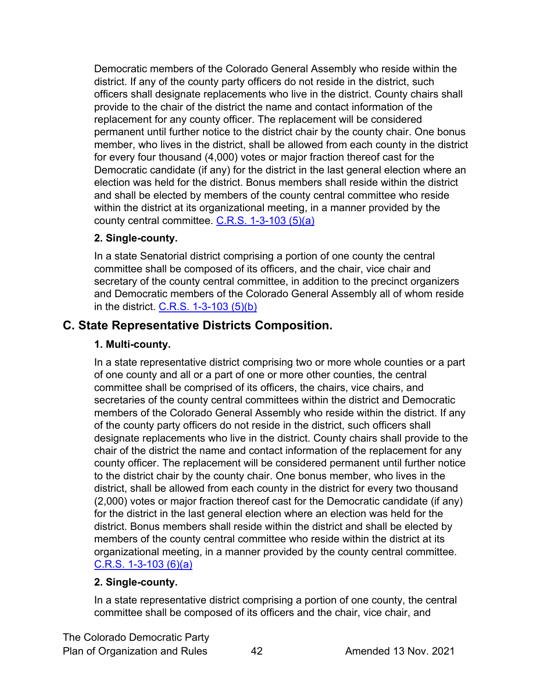Democratic members of the Colorado General Assembly who reside within the district. If any of the county party officers do not reside in the district, such officers shall designate replacements who live in the district. County chairs shall provide to the chair of the district the name and contact information of the replacement for any county officer. The replacement will be considered permanent until further notice to the district chair by the county chair. One bonus member, who lives in the district, shall be allowed from each county in the district for every four thousand (4,000) votes or major fraction thereof cast for the Democratic candidate (if any) for the district in the last general election where an election was held for the district. Bonus members shall reside within the district and shall be elected by members of the county central committee who reside within the district at its organizational meeting, in a manner provided by the county central committee. [C.R.S. 1-3-103 \(5\)\(a\)](https://codes.findlaw.com/co/title-1-elections/co-rev-st-sect-1-3-103.html)

#### **2. Single-county.**

In a state Senatorial district comprising a portion of one county the central committee shall be composed of its officers, and the chair, vice chair and secretary of the county central committee, in addition to the precinct organizers and Democratic members of the Colorado General Assembly all of whom reside in the district. [C.R.S. 1-3-103 \(5\)\(b\)](https://codes.findlaw.com/co/title-1-elections/co-rev-st-sect-1-3-103.html)

### <span id="page-41-0"></span>**C. State Representative Districts Composition.**

#### **1. Multi-county.**

In a state representative district comprising two or more whole counties or a part of one county and all or a part of one or more other counties, the central committee shall be comprised of its officers, the chairs, vice chairs, and secretaries of the county central committees within the district and Democratic members of the Colorado General Assembly who reside within the district. If any of the county party officers do not reside in the district, such officers shall designate replacements who live in the district. County chairs shall provide to the chair of the district the name and contact information of the replacement for any county officer. The replacement will be considered permanent until further notice to the district chair by the county chair. One bonus member, who lives in the district, shall be allowed from each county in the district for every two thousand (2,000) votes or major fraction thereof cast for the Democratic candidate (if any) for the district in the last general election where an election was held for the district. Bonus members shall reside within the district and shall be elected by members of the county central committee who reside within the district at its organizational meeting, in a manner provided by the county central committee.  $C.R.S.$  1-3-103 (6)(a)

#### **2. Single-county.**

In a state representative district comprising a portion of one county, the central committee shall be composed of its officers and the chair, vice chair, and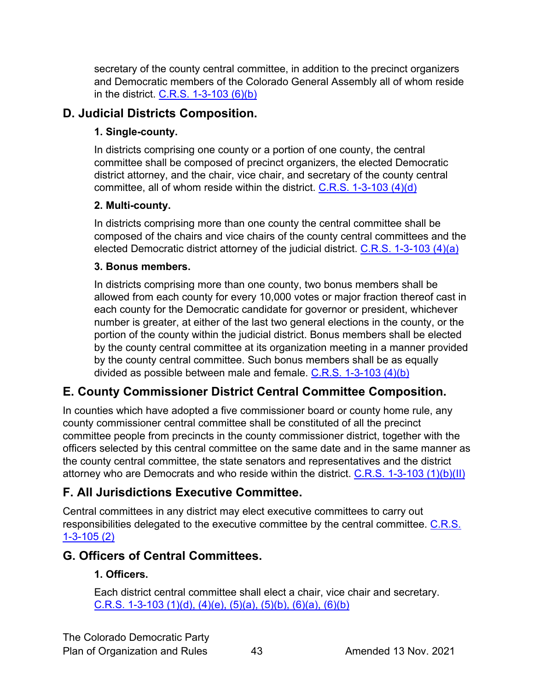secretary of the county central committee, in addition to the precinct organizers and Democratic members of the Colorado General Assembly all of whom reside in the district.  $C.R.S.$  1-3-103  $(6)(b)$ 

# <span id="page-42-0"></span>**D. Judicial Districts Composition.**

#### **1. Single-county.**

In districts comprising one county or a portion of one county, the central committee shall be composed of precinct organizers, the elected Democratic district attorney, and the chair, vice chair, and secretary of the county central committee, all of whom reside within the district. [C.R.S. 1-3-103 \(4\)\(d\)](https://codes.findlaw.com/co/title-1-elections/co-rev-st-sect-1-3-103.html)

#### **2. Multi-county.**

In districts comprising more than one county the central committee shall be composed of the chairs and vice chairs of the county central committees and the elected Democratic district attorney of the judicial district.  $C.R.S. 1-3-103 (4)(a)$ 

#### **3. Bonus members.**

In districts comprising more than one county, two bonus members shall be allowed from each county for every 10,000 votes or major fraction thereof cast in each county for the Democratic candidate for governor or president, whichever number is greater, at either of the last two general elections in the county, or the portion of the county within the judicial district. Bonus members shall be elected by the county central committee at its organization meeting in a manner provided by the county central committee. Such bonus members shall be as equally divided as possible between male and female.  $C.R.S. 1-3-103 (4)(b)$ 

# <span id="page-42-1"></span>**E. County Commissioner District Central Committee Composition.**

In counties which have adopted a five commissioner board or county home rule, any county commissioner central committee shall be constituted of all the precinct committee people from precincts in the county commissioner district, together with the officers selected by this central committee on the same date and in the same manner as the county central committee, the state senators and representatives and the district attorney who are Democrats and who reside within the district. [C.R.S. 1-3-103 \(1\)\(b\)\(II\)](https://codes.findlaw.com/co/title-1-elections/co-rev-st-sect-1-3-103.html)

# <span id="page-42-2"></span>**F. All Jurisdictions Executive Committee.**

Central committees in any district may elect executive committees to carry out responsibilities delegated to the executive committee by the central committee. C.R.S. [1-3-105 \(2\)](https://codes.findlaw.com/co/title-1-elections/co-rev-st-sect-1-3-105.html)

# <span id="page-42-3"></span>**G. Officers of Central Committees.**

#### **1. Officers.**

Each district central committee shall elect a chair, vice chair and secretary. [C.R.S. 1-3-103 \(1\)\(d\), \(4\)\(e\), \(5\)\(a\), \(5\)\(b\), \(6\)\(a\), \(6\)\(b\)](https://codes.findlaw.com/co/title-1-elections/co-rev-st-sect-1-3-103.html)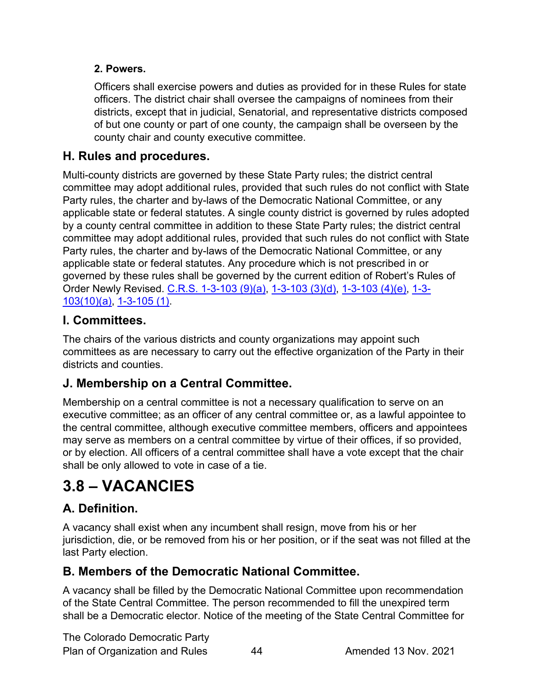#### **2. Powers.**

Officers shall exercise powers and duties as provided for in these Rules for state officers. The district chair shall oversee the campaigns of nominees from their districts, except that in judicial, Senatorial, and representative districts composed of but one county or part of one county, the campaign shall be overseen by the county chair and county executive committee.

# <span id="page-43-0"></span>**H. Rules and procedures.**

Multi-county districts are governed by these State Party rules; the district central committee may adopt additional rules, provided that such rules do not conflict with State Party rules, the charter and by-laws of the Democratic National Committee, or any applicable state or federal statutes. A single county district is governed by rules adopted by a county central committee in addition to these State Party rules; the district central committee may adopt additional rules, provided that such rules do not conflict with State Party rules, the charter and by-laws of the Democratic National Committee, or any applicable state or federal statutes. Any procedure which is not prescribed in or governed by these rules shall be governed by the current edition of Robert's Rules of Order Newly Revised. [C.R.S. 1-3-103 \(9\)\(a\), 1-3-103 \(3\)\(d\), 1-3-103 \(4\)\(e\), 1-3-](https://codes.findlaw.com/co/title-1-elections/co-rev-st-sect-1-3-103.html) [103\(10\)\(a\),](https://codes.findlaw.com/co/title-1-elections/co-rev-st-sect-1-3-103.html) [1-3-105 \(1\).](https://codes.findlaw.com/co/title-1-elections/co-rev-st-sect-1-3-105.html)

# <span id="page-43-1"></span>**I. Committees.**

The chairs of the various districts and county organizations may appoint such committees as are necessary to carry out the effective organization of the Party in their districts and counties.

# <span id="page-43-2"></span>**J. Membership on a Central Committee.**

Membership on a central committee is not a necessary qualification to serve on an executive committee; as an officer of any central committee or, as a lawful appointee to the central committee, although executive committee members, officers and appointees may serve as members on a central committee by virtue of their offices, if so provided, or by election. All officers of a central committee shall have a vote except that the chair shall be only allowed to vote in case of a tie.

# <span id="page-43-3"></span>**3.8 – VACANCIES**

# <span id="page-43-4"></span>**A. Definition.**

A vacancy shall exist when any incumbent shall resign, move from his or her jurisdiction, die, or be removed from his or her position, or if the seat was not filled at the last Party election.

# <span id="page-43-5"></span>**B. Members of the Democratic National Committee.**

A vacancy shall be filled by the Democratic National Committee upon recommendation of the State Central Committee. The person recommended to fill the unexpired term shall be a Democratic elector. Notice of the meeting of the State Central Committee for

The Colorado Democratic Party Plan of Organization and Rules 44 Amended 13 Nov. 2021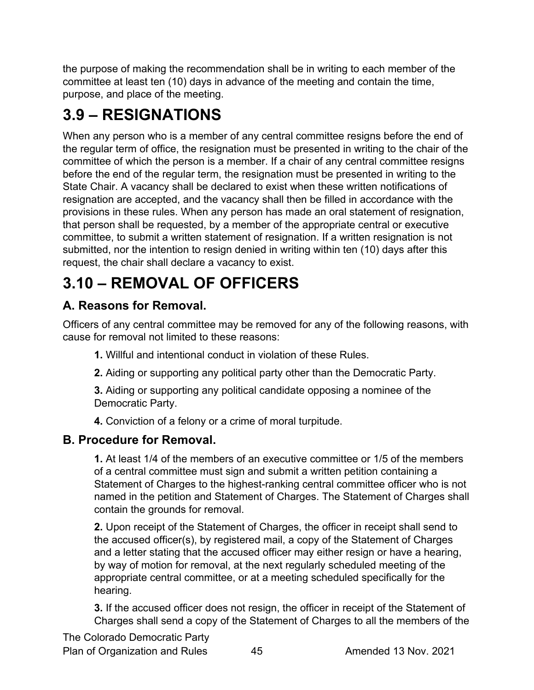the purpose of making the recommendation shall be in writing to each member of the committee at least ten (10) days in advance of the meeting and contain the time, purpose, and place of the meeting.

# <span id="page-44-0"></span>**3.9 – RESIGNATIONS**

When any person who is a member of any central committee resigns before the end of the regular term of office, the resignation must be presented in writing to the chair of the committee of which the person is a member. If a chair of any central committee resigns before the end of the regular term, the resignation must be presented in writing to the State Chair. A vacancy shall be declared to exist when these written notifications of resignation are accepted, and the vacancy shall then be filled in accordance with the provisions in these rules. When any person has made an oral statement of resignation, that person shall be requested, by a member of the appropriate central or executive committee, to submit a written statement of resignation. If a written resignation is not submitted, nor the intention to resign denied in writing within ten (10) days after this request, the chair shall declare a vacancy to exist.

# <span id="page-44-1"></span>**3.10 – REMOVAL OF OFFICERS**

# <span id="page-44-2"></span>**A. Reasons for Removal.**

Officers of any central committee may be removed for any of the following reasons, with cause for removal not limited to these reasons:

- **1.** Willful and intentional conduct in violation of these Rules.
- **2.** Aiding or supporting any political party other than the Democratic Party.

**3.** Aiding or supporting any political candidate opposing a nominee of the Democratic Party.

**4.** Conviction of a felony or a crime of moral turpitude.

# <span id="page-44-3"></span>**B. Procedure for Removal.**

**1.** At least 1/4 of the members of an executive committee or 1/5 of the members of a central committee must sign and submit a written petition containing a Statement of Charges to the highest-ranking central committee officer who is not named in the petition and Statement of Charges. The Statement of Charges shall contain the grounds for removal.

**2.** Upon receipt of the Statement of Charges, the officer in receipt shall send to the accused officer(s), by registered mail, a copy of the Statement of Charges and a letter stating that the accused officer may either resign or have a hearing, by way of motion for removal, at the next regularly scheduled meeting of the appropriate central committee, or at a meeting scheduled specifically for the hearing.

**3.** If the accused officer does not resign, the officer in receipt of the Statement of Charges shall send a copy of the Statement of Charges to all the members of the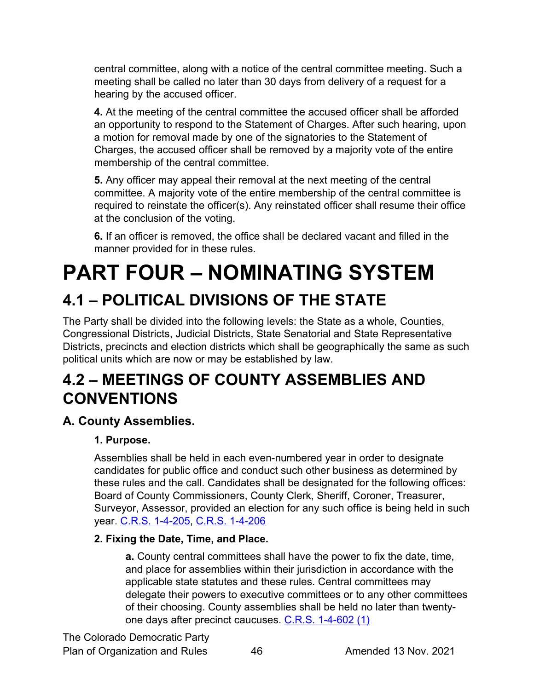central committee, along with a notice of the central committee meeting. Such a meeting shall be called no later than 30 days from delivery of a request for a hearing by the accused officer.

**4.** At the meeting of the central committee the accused officer shall be afforded an opportunity to respond to the Statement of Charges. After such hearing, upon a motion for removal made by one of the signatories to the Statement of Charges, the accused officer shall be removed by a majority vote of the entire membership of the central committee.

**5.** Any officer may appeal their removal at the next meeting of the central committee. A majority vote of the entire membership of the central committee is required to reinstate the officer(s). Any reinstated officer shall resume their office at the conclusion of the voting.

**6.** If an officer is removed, the office shall be declared vacant and filled in the manner provided for in these rules.

# <span id="page-45-0"></span>**PART FOUR – NOMINATING SYSTEM**

# <span id="page-45-1"></span>**4.1 – POLITICAL DIVISIONS OF THE STATE**

The Party shall be divided into the following levels: the State as a whole, Counties, Congressional Districts, Judicial Districts, State Senatorial and State Representative Districts, precincts and election districts which shall be geographically the same as such political units which are now or may be established by law.

# <span id="page-45-2"></span>**4.2 – MEETINGS OF COUNTY ASSEMBLIES AND CONVENTIONS**

# <span id="page-45-3"></span>**A. County Assemblies.**

#### **1. Purpose.**

Assemblies shall be held in each even-numbered year in order to designate candidates for public office and conduct such other business as determined by these rules and the call. Candidates shall be designated for the following offices: Board of County Commissioners, County Clerk, Sheriff, Coroner, Treasurer, Surveyor, Assessor, provided an election for any such office is being held in such year. [C.R.S. 1-4-205,](https://codes.findlaw.com/co/title-1-elections/co-rev-st-sect-1-4-205.html) [C.R.S. 1-4-206](https://codes.findlaw.com/co/title-1-elections/co-rev-st-sect-1-4-206.html)

#### **2. Fixing the Date, Time, and Place.**

**a.** County central committees shall have the power to fix the date, time, and place for assemblies within their jurisdiction in accordance with the applicable state statutes and these rules. Central committees may delegate their powers to executive committees or to any other committees of their choosing. County assemblies shall be held no later than twentyone days after precinct caucuses. [C.R.S. 1-4-602 \(1\)](https://codes.findlaw.com/co/title-1-elections/co-rev-st-sect-1-4-602.html)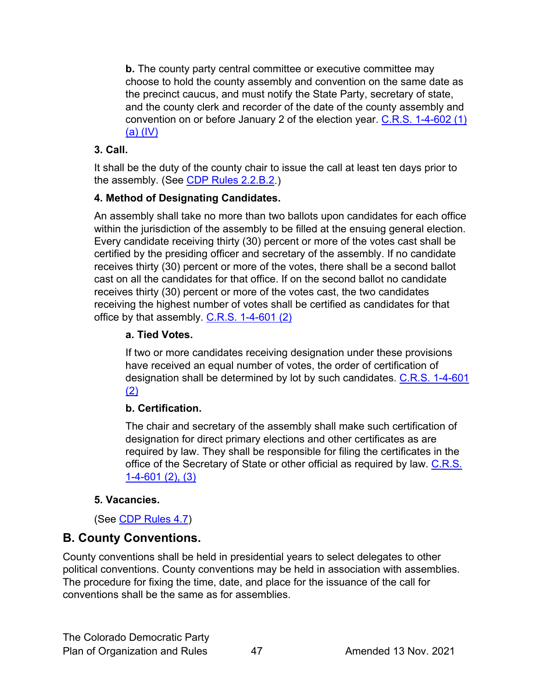**b.** The county party central committee or executive committee may choose to hold the county assembly and convention on the same date as the precinct caucus, and must notify the State Party, secretary of state, and the county clerk and recorder of the date of the county assembly and convention on or before January 2 of the election year. [C.R.S. 1-4-602](https://codes.findlaw.com/co/title-1-elections/co-rev-st-sect-1-4-602.html) (1) [\(a\) \(IV\)](https://codes.findlaw.com/co/title-1-elections/co-rev-st-sect-1-4-602.html)

#### **3. Call.**

It shall be the duty of the county chair to issue the call at least ten days prior to the assembly. (See [CDP Rules 2.2.B.2.](#page-11-3))

#### **4. Method of Designating Candidates.**

An assembly shall take no more than two ballots upon candidates for each office within the jurisdiction of the assembly to be filled at the ensuing general election. Every candidate receiving thirty (30) percent or more of the votes cast shall be certified by the presiding officer and secretary of the assembly. If no candidate receives thirty (30) percent or more of the votes, there shall be a second ballot cast on all the candidates for that office. If on the second ballot no candidate receives thirty (30) percent or more of the votes cast, the two candidates receiving the highest number of votes shall be certified as candidates for that office by that assembly. [C.R.S. 1-4-601 \(2\)](https://codes.findlaw.com/co/title-1-elections/co-rev-st-sect-1-4-601.html)

#### **a. Tied Votes.**

If two or more candidates receiving designation under these provisions have received an equal number of votes, the order of certification of designation shall be determined by lot by such candidates. C.R.S. 1-4-601 [\(2\)](https://codes.findlaw.com/co/title-1-elections/co-rev-st-sect-1-4-601.html)

#### **b. Certification.**

The chair and secretary of the assembly shall make such certification of designation for direct primary elections and other certificates as are required by law. They shall be responsible for filing the certificates in the office of the Secretary of State or other official as required by law. C.R.S. [1-4-601 \(2\), \(3\)](https://codes.findlaw.com/co/title-1-elections/co-rev-st-sect-1-4-601.html)

#### **5. Vacancies.**

#### (See [CDP Rules 4.7\)](#page-60-0)

# <span id="page-46-0"></span>**B. County Conventions.**

County conventions shall be held in presidential years to select delegates to other political conventions. County conventions may be held in association with assemblies. The procedure for fixing the time, date, and place for the issuance of the call for conventions shall be the same as for assemblies.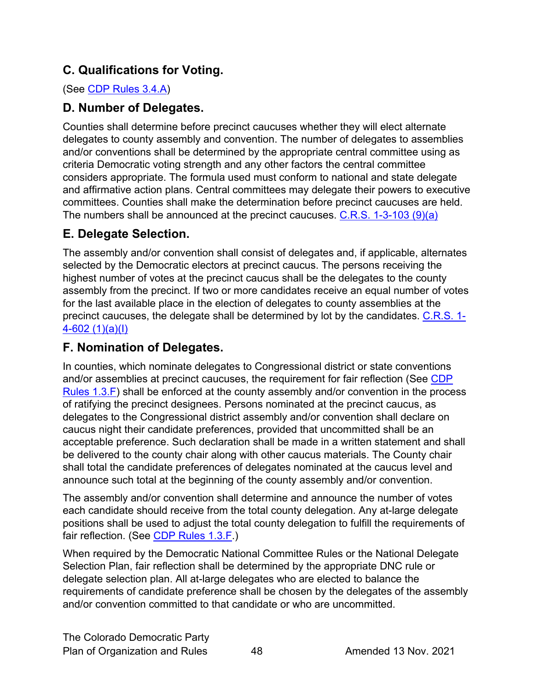# <span id="page-47-0"></span>**C. Qualifications for Voting.**

(See [CDP Rules](#page-32-3) 3.4.A)

# <span id="page-47-1"></span>**D. Number of Delegates.**

Counties shall determine before precinct caucuses whether they will elect alternate delegates to county assembly and convention. The number of delegates to assemblies and/or conventions shall be determined by the appropriate central committee using as criteria Democratic voting strength and any other factors the central committee considers appropriate. The formula used must conform to national and state delegate and affirmative action plans. Central committees may delegate their powers to executive committees. Counties shall make the determination before precinct caucuses are held. The numbers shall be announced at the precinct caucuses. [C.R.S. 1-3-103 \(9\)\(a\)](https://codes.findlaw.com/co/title-1-elections/co-rev-st-sect-1-3-103.html)

# <span id="page-47-2"></span>**E. Delegate Selection.**

The assembly and/or convention shall consist of delegates and, if applicable, alternates selected by the Democratic electors at precinct caucus. The persons receiving the highest number of votes at the precinct caucus shall be the delegates to the county assembly from the precinct. If two or more candidates receive an equal number of votes for the last available place in the election of delegates to county assemblies at the precinct caucuses, the delegate shall be determined by lot by the candidates. [C.R.S. 1-](https://codes.findlaw.com/co/title-1-elections/co-rev-st-sect-1-4-602.html) [4-602 \(1\)\(a\)\(I\)](https://codes.findlaw.com/co/title-1-elections/co-rev-st-sect-1-4-602.html)

# <span id="page-47-3"></span>**F. Nomination of Delegates.**

In counties, which nominate delegates to Congressional district or state conventions and/or assemblies at precinct caucuses, the requirement for fair reflection (See [CDP](#page-9-2)  [Rules 1.3.F\)](#page-9-2) shall be enforced at the county assembly and/or convention in the process of ratifying the precinct designees. Persons nominated at the precinct caucus, as delegates to the Congressional district assembly and/or convention shall declare on caucus night their candidate preferences, provided that uncommitted shall be an acceptable preference. Such declaration shall be made in a written statement and shall be delivered to the county chair along with other caucus materials. The County chair shall total the candidate preferences of delegates nominated at the caucus level and announce such total at the beginning of the county assembly and/or convention.

The assembly and/or convention shall determine and announce the number of votes each candidate should receive from the total county delegation. Any at-large delegate positions shall be used to adjust the total county delegation to fulfill the requirements of fair reflection. (See [CDP Rules 1.3.F.](#page-9-2))

When required by the Democratic National Committee Rules or the National Delegate Selection Plan, fair reflection shall be determined by the appropriate DNC rule or delegate selection plan. All at-large delegates who are elected to balance the requirements of candidate preference shall be chosen by the delegates of the assembly and/or convention committed to that candidate or who are uncommitted.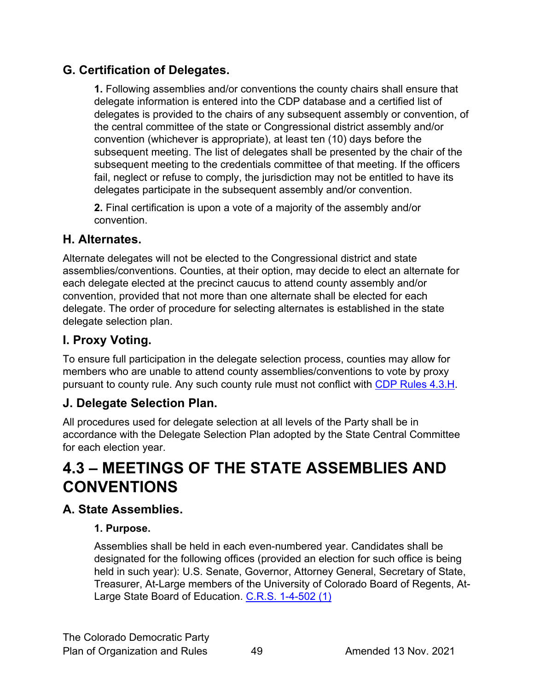# <span id="page-48-0"></span>**G. Certification of Delegates.**

**1.** Following assemblies and/or conventions the county chairs shall ensure that delegate information is entered into the CDP database and a certified list of delegates is provided to the chairs of any subsequent assembly or convention, of the central committee of the state or Congressional district assembly and/or convention (whichever is appropriate), at least ten (10) days before the subsequent meeting. The list of delegates shall be presented by the chair of the subsequent meeting to the credentials committee of that meeting. If the officers fail, neglect or refuse to comply, the jurisdiction may not be entitled to have its delegates participate in the subsequent assembly and/or convention.

**2.** Final certification is upon a vote of a majority of the assembly and/or convention.

#### <span id="page-48-1"></span>**H. Alternates.**

Alternate delegates will not be elected to the Congressional district and state assemblies/conventions. Counties, at their option, may decide to elect an alternate for each delegate elected at the precinct caucus to attend county assembly and/or convention, provided that not more than one alternate shall be elected for each delegate. The order of procedure for selecting alternates is established in the state delegate selection plan.

# <span id="page-48-2"></span>**I. Proxy Voting.**

To ensure full participation in the delegate selection process, counties may allow for members who are unable to attend county assemblies/conventions to vote by proxy pursuant to county rule. Any such county rule must not conflict with [CDP Rules](#page-51-0) 4.3.H.

# <span id="page-48-3"></span>**J. Delegate Selection Plan.**

All procedures used for delegate selection at all levels of the Party shall be in accordance with the Delegate Selection Plan adopted by the State Central Committee for each election year.

# <span id="page-48-4"></span>**4.3 – MEETINGS OF THE STATE ASSEMBLIES AND CONVENTIONS**

# <span id="page-48-5"></span>**A. State Assemblies.**

#### **1. Purpose.**

Assemblies shall be held in each even-numbered year. Candidates shall be designated for the following offices (provided an election for such office is being held in such year): U.S. Senate, Governor, Attorney General, Secretary of State, Treasurer, At-Large members of the University of Colorado Board of Regents, At-Large State Board of Education. [C.R.S. 1-4-502 \(1\)](https://codes.findlaw.com/co/title-1-elections/co-rev-st-sect-1-4-502.html)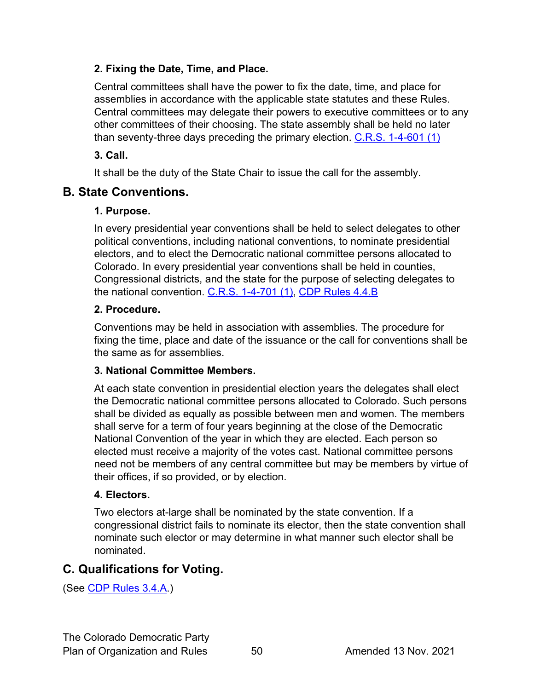#### **2. Fixing the Date, Time, and Place.**

Central committees shall have the power to fix the date, time, and place for assemblies in accordance with the applicable state statutes and these Rules. Central committees may delegate their powers to executive committees or to any other committees of their choosing. The state assembly shall be held no later than seventy-three days preceding the primary election. [C.R.S. 1-4-601 \(1\)](https://codes.findlaw.com/co/title-1-elections/co-rev-st-sect-1-4-601.html)

#### **3. Call.**

It shall be the duty of the State Chair to issue the call for the assembly.

### <span id="page-49-0"></span>**B. State Conventions.**

#### **1. Purpose.**

In every presidential year conventions shall be held to select delegates to other political conventions, including national conventions, to nominate presidential electors, and to elect the Democratic national committee persons allocated to Colorado. In every presidential year conventions shall be held in counties, Congressional districts, and the state for the purpose of selecting delegates to the national convention. [C.R.S. 1-4-701 \(1\),](https://codes.findlaw.com/co/title-1-elections/co-rev-st-sect-1-4-701.html) [CDP Rules 4.4.B](#page-52-0)

#### **2. Procedure.**

Conventions may be held in association with assemblies. The procedure for fixing the time, place and date of the issuance or the call for conventions shall be the same as for assemblies.

#### **3. National Committee Members.**

At each state convention in presidential election years the delegates shall elect the Democratic national committee persons allocated to Colorado. Such persons shall be divided as equally as possible between men and women. The members shall serve for a term of four years beginning at the close of the Democratic National Convention of the year in which they are elected. Each person so elected must receive a majority of the votes cast. National committee persons need not be members of any central committee but may be members by virtue of their offices, if so provided, or by election.

#### **4. Electors.**

Two electors at-large shall be nominated by the state convention. If a congressional district fails to nominate its elector, then the state convention shall nominate such elector or may determine in what manner such elector shall be nominated.

# <span id="page-49-1"></span>**C. Qualifications for Voting.**

(See [CDP Rules 3.4.A.](#page-32-3))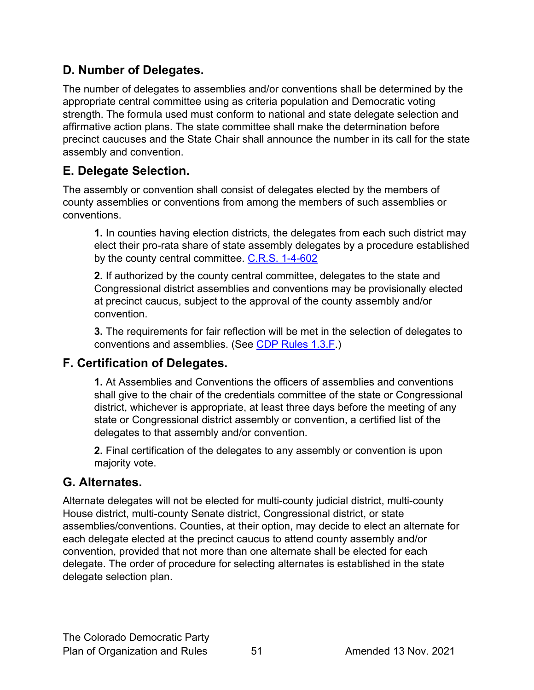# <span id="page-50-0"></span>**D. Number of Delegates.**

The number of delegates to assemblies and/or conventions shall be determined by the appropriate central committee using as criteria population and Democratic voting strength. The formula used must conform to national and state delegate selection and affirmative action plans. The state committee shall make the determination before precinct caucuses and the State Chair shall announce the number in its call for the state assembly and convention.

### <span id="page-50-1"></span>**E. Delegate Selection.**

The assembly or convention shall consist of delegates elected by the members of county assemblies or conventions from among the members of such assemblies or conventions.

**1.** In counties having election districts, the delegates from each such district may elect their pro-rata share of state assembly delegates by a procedure established by the county central committee. [C.R.S. 1-4-602](https://codes.findlaw.com/co/title-1-elections/co-rev-st-sect-1-4-602.html)

**2.** If authorized by the county central committee, delegates to the state and Congressional district assemblies and conventions may be provisionally elected at precinct caucus, subject to the approval of the county assembly and/or convention.

**3.** The requirements for fair reflection will be met in the selection of delegates to conventions and assemblies. (See [CDP Rules 1.3.F.](#page-9-2))

# <span id="page-50-2"></span>**F. Certification of Delegates.**

**1.** At Assemblies and Conventions the officers of assemblies and conventions shall give to the chair of the credentials committee of the state or Congressional district, whichever is appropriate, at least three days before the meeting of any state or Congressional district assembly or convention, a certified list of the delegates to that assembly and/or convention.

**2.** Final certification of the delegates to any assembly or convention is upon majority vote.

# <span id="page-50-3"></span>**G. Alternates.**

Alternate delegates will not be elected for multi-county judicial district, multi-county House district, multi-county Senate district, Congressional district, or state assemblies/conventions. Counties, at their option, may decide to elect an alternate for each delegate elected at the precinct caucus to attend county assembly and/or convention, provided that not more than one alternate shall be elected for each delegate. The order of procedure for selecting alternates is established in the state delegate selection plan.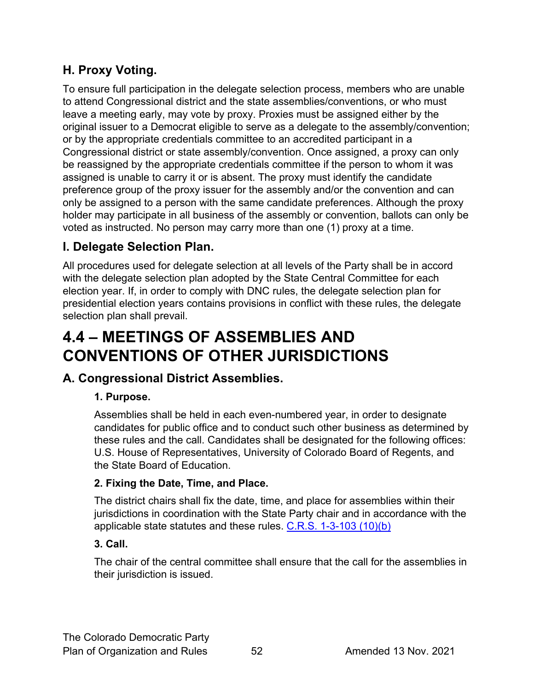# <span id="page-51-0"></span>**H. Proxy Voting.**

To ensure full participation in the delegate selection process, members who are unable to attend Congressional district and the state assemblies/conventions, or who must leave a meeting early, may vote by proxy. Proxies must be assigned either by the original issuer to a Democrat eligible to serve as a delegate to the assembly/convention; or by the appropriate credentials committee to an accredited participant in a Congressional district or state assembly/convention. Once assigned, a proxy can only be reassigned by the appropriate credentials committee if the person to whom it was assigned is unable to carry it or is absent. The proxy must identify the candidate preference group of the proxy issuer for the assembly and/or the convention and can only be assigned to a person with the same candidate preferences. Although the proxy holder may participate in all business of the assembly or convention, ballots can only be voted as instructed. No person may carry more than one (1) proxy at a time.

# <span id="page-51-1"></span>**I. Delegate Selection Plan.**

All procedures used for delegate selection at all levels of the Party shall be in accord with the delegate selection plan adopted by the State Central Committee for each election year. If, in order to comply with DNC rules, the delegate selection plan for presidential election years contains provisions in conflict with these rules, the delegate selection plan shall prevail.

# <span id="page-51-2"></span>**4.4 – MEETINGS OF ASSEMBLIES AND CONVENTIONS OF OTHER JURISDICTIONS**

# <span id="page-51-3"></span>**A. Congressional District Assemblies.**

#### **1. Purpose.**

Assemblies shall be held in each even-numbered year, in order to designate candidates for public office and to conduct such other business as determined by these rules and the call. Candidates shall be designated for the following offices: U.S. House of Representatives, University of Colorado Board of Regents, and the State Board of Education.

#### **2. Fixing the Date, Time, and Place.**

The district chairs shall fix the date, time, and place for assemblies within their jurisdictions in coordination with the State Party chair and in accordance with the applicable state statutes and these rules. [C.R.S. 1-3-103 \(10\)\(b\)](https://codes.findlaw.com/co/title-1-elections/co-rev-st-sect-1-3-103.html)

#### **3. Call.**

The chair of the central committee shall ensure that the call for the assemblies in their jurisdiction is issued.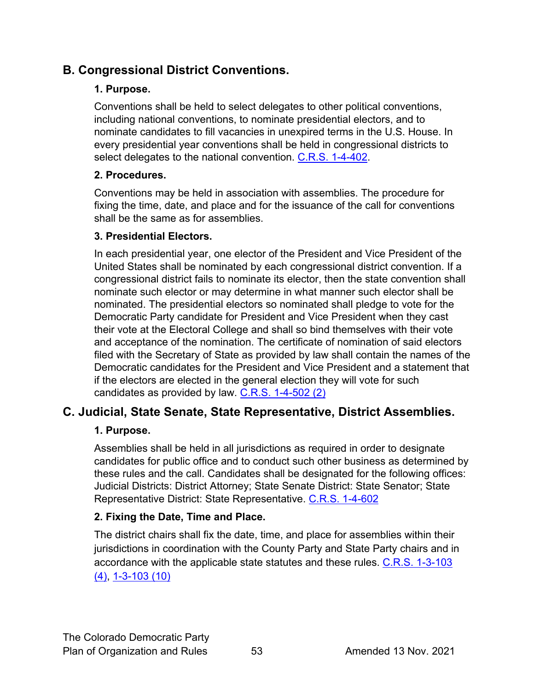# <span id="page-52-0"></span>**B. Congressional District Conventions.**

#### **1. Purpose.**

Conventions shall be held to select delegates to other political conventions, including national conventions, to nominate presidential electors, and to nominate candidates to fill vacancies in unexpired terms in the U.S. House. In every presidential year conventions shall be held in congressional districts to select delegates to the national convention. [C.R.S. 1-4-402.](https://codes.findlaw.com/co/title-1-elections/co-rev-st-sect-1-4-402.html)

#### **2. Procedures.**

Conventions may be held in association with assemblies. The procedure for fixing the time, date, and place and for the issuance of the call for conventions shall be the same as for assemblies.

#### **3. Presidential Electors.**

In each presidential year, one elector of the President and Vice President of the United States shall be nominated by each congressional district convention. If a congressional district fails to nominate its elector, then the state convention shall nominate such elector or may determine in what manner such elector shall be nominated. The presidential electors so nominated shall pledge to vote for the Democratic Party candidate for President and Vice President when they cast their vote at the Electoral College and shall so bind themselves with their vote and acceptance of the nomination. The certificate of nomination of said electors filed with the Secretary of State as provided by law shall contain the names of the Democratic candidates for the President and Vice President and a statement that if the electors are elected in the general election they will vote for such candidates as provided by law.  $C.R.S.$  1-4-502 (2)

# <span id="page-52-1"></span>**C. Judicial, State Senate, State Representative, District Assemblies.**

#### **1. Purpose.**

Assemblies shall be held in all jurisdictions as required in order to designate candidates for public office and to conduct such other business as determined by these rules and the call. Candidates shall be designated for the following offices: Judicial Districts: District Attorney; State Senate District: State Senator; State Representative District: State Representative. [C.R.S. 1-4-602](https://codes.findlaw.com/co/title-1-elections/co-rev-st-sect-1-4-1002.html)

#### **2. Fixing the Date, Time and Place.**

The district chairs shall fix the date, time, and place for assemblies within their jurisdictions in coordination with the County Party and State Party chairs and in accordance with the applicable state statutes and these rules. [C.R.S. 1-3-103](https://codes.findlaw.com/co/title-1-elections/co-rev-st-sect-1-3-103.html)  [\(4\), 1-3-103 \(10\)](https://codes.findlaw.com/co/title-1-elections/co-rev-st-sect-1-3-103.html)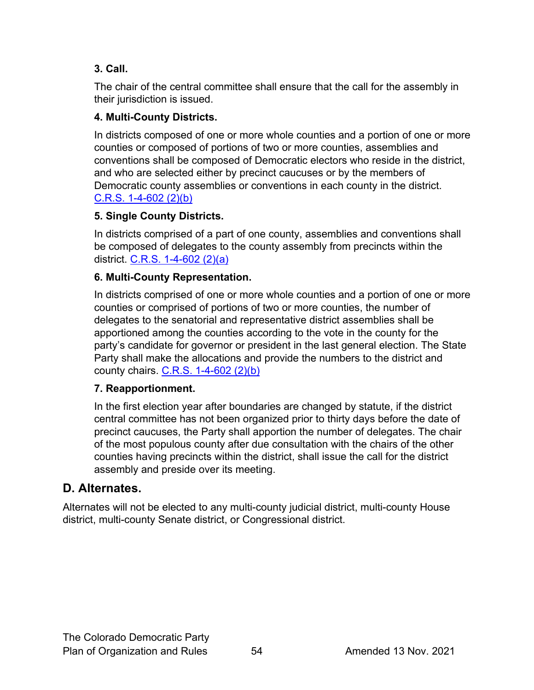#### **3. Call.**

The chair of the central committee shall ensure that the call for the assembly in their jurisdiction is issued.

#### **4. Multi-County Districts.**

In districts composed of one or more whole counties and a portion of one or more counties or composed of portions of two or more counties, assemblies and conventions shall be composed of Democratic electors who reside in the district, and who are selected either by precinct caucuses or by the members of Democratic county assemblies or conventions in each county in the district. [C.R.S. 1-4-602 \(2\)\(b\)](https://codes.findlaw.com/co/title-1-elections/co-rev-st-sect-1-4-602.html)

#### **5. Single County Districts.**

In districts comprised of a part of one county, assemblies and conventions shall be composed of delegates to the county assembly from precincts within the district. [C.R.S. 1-4-602 \(2\)\(a\)](https://codes.findlaw.com/co/title-1-elections/co-rev-st-sect-1-4-602.html)

#### **6. Multi-County Representation.**

In districts comprised of one or more whole counties and a portion of one or more counties or comprised of portions of two or more counties, the number of delegates to the senatorial and representative district assemblies shall be apportioned among the counties according to the vote in the county for the party's candidate for governor or president in the last general election. The State Party shall make the allocations and provide the numbers to the district and county chairs. [C.R.S. 1-4-602 \(2\)\(b\)](https://codes.findlaw.com/co/title-1-elections/co-rev-st-sect-1-4-602.html)

#### **7. Reapportionment.**

In the first election year after boundaries are changed by statute, if the district central committee has not been organized prior to thirty days before the date of precinct caucuses, the Party shall apportion the number of delegates. The chair of the most populous county after due consultation with the chairs of the other counties having precincts within the district, shall issue the call for the district assembly and preside over its meeting.

# <span id="page-53-0"></span>**D. Alternates.**

Alternates will not be elected to any multi-county judicial district, multi-county House district, multi-county Senate district, or Congressional district.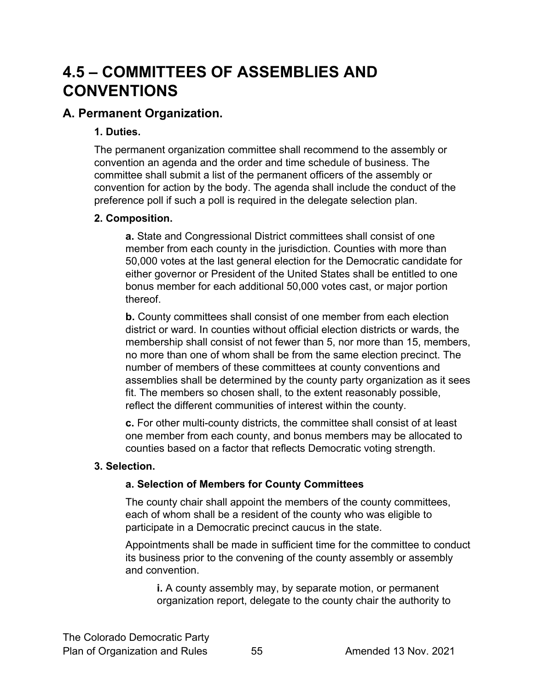# <span id="page-54-0"></span>**4.5 – COMMITTEES OF ASSEMBLIES AND CONVENTIONS**

### <span id="page-54-1"></span>**A. Permanent Organization.**

#### **1. Duties.**

The permanent organization committee shall recommend to the assembly or convention an agenda and the order and time schedule of business. The committee shall submit a list of the permanent officers of the assembly or convention for action by the body. The agenda shall include the conduct of the preference poll if such a poll is required in the delegate selection plan.

#### <span id="page-54-2"></span>**2. Composition.**

**a.** State and Congressional District committees shall consist of one member from each county in the jurisdiction. Counties with more than 50,000 votes at the last general election for the Democratic candidate for either governor or President of the United States shall be entitled to one bonus member for each additional 50,000 votes cast, or major portion thereof.

**b.** County committees shall consist of one member from each election district or ward. In counties without official election districts or wards, the membership shall consist of not fewer than 5, nor more than 15, members, no more than one of whom shall be from the same election precinct. The number of members of these committees at county conventions and assemblies shall be determined by the county party organization as it sees fit. The members so chosen shall, to the extent reasonably possible, reflect the different communities of interest within the county.

**c.** For other multi-county districts, the committee shall consist of at least one member from each county, and bonus members may be allocated to counties based on a factor that reflects Democratic voting strength.

#### **3. Selection.**

#### **a. Selection of Members for County Committees**

The county chair shall appoint the members of the county committees, each of whom shall be a resident of the county who was eligible to participate in a Democratic precinct caucus in the state.

Appointments shall be made in sufficient time for the committee to conduct its business prior to the convening of the county assembly or assembly and convention.

**i.** A county assembly may, by separate motion, or permanent organization report, delegate to the county chair the authority to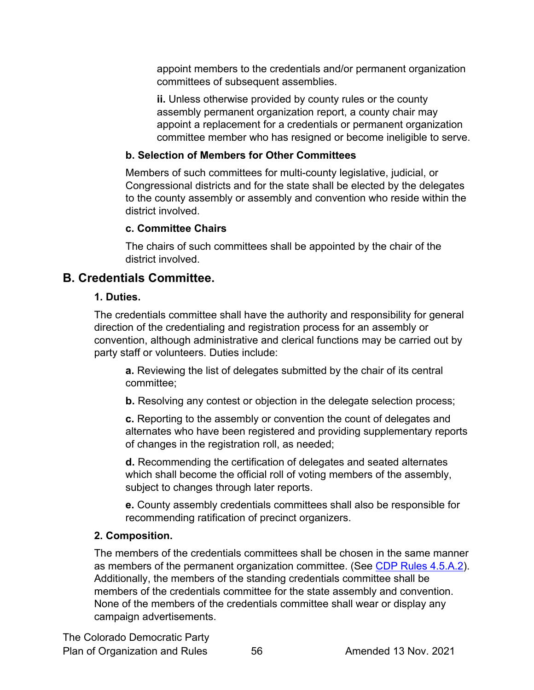appoint members to the credentials and/or permanent organization committees of subsequent assemblies.

**ii.** Unless otherwise provided by county rules or the county assembly permanent organization report, a county chair may appoint a replacement for a credentials or permanent organization committee member who has resigned or become ineligible to serve.

#### **b. Selection of Members for Other Committees**

Members of such committees for multi-county legislative, judicial, or Congressional districts and for the state shall be elected by the delegates to the county assembly or assembly and convention who reside within the district involved.

#### **c. Committee Chairs**

The chairs of such committees shall be appointed by the chair of the district involved.

### <span id="page-55-0"></span>**B. Credentials Committee.**

#### **1. Duties.**

The credentials committee shall have the authority and responsibility for general direction of the credentialing and registration process for an assembly or convention, although administrative and clerical functions may be carried out by party staff or volunteers. Duties include:

**a.** Reviewing the list of delegates submitted by the chair of its central committee;

**b.** Resolving any contest or objection in the delegate selection process;

**c.** Reporting to the assembly or convention the count of delegates and alternates who have been registered and providing supplementary reports of changes in the registration roll, as needed;

**d.** Recommending the certification of delegates and seated alternates which shall become the official roll of voting members of the assembly, subject to changes through later reports.

**e.** County assembly credentials committees shall also be responsible for recommending ratification of precinct organizers.

#### **2. Composition.**

The members of the credentials committees shall be chosen in the same manner as members of the permanent organization committee. (See [CDP Rules 4.5.A.2\)](#page-54-2). Additionally, the members of the standing credentials committee shall be members of the credentials committee for the state assembly and convention. None of the members of the credentials committee shall wear or display any campaign advertisements.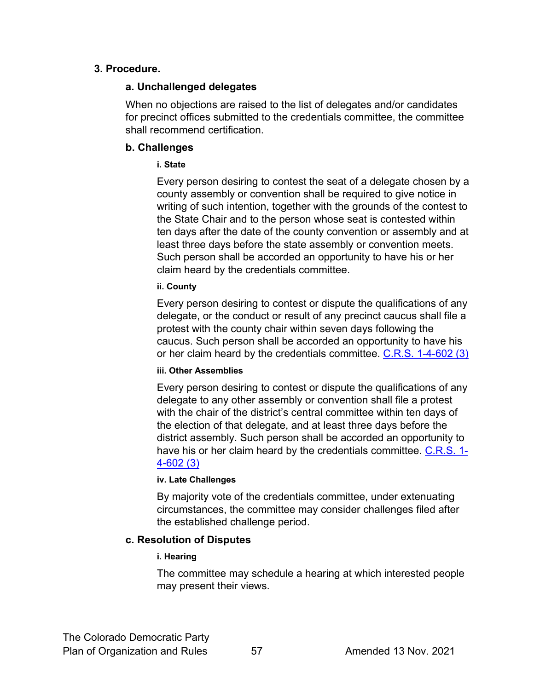#### **3. Procedure.**

#### **a. Unchallenged delegates**

When no objections are raised to the list of delegates and/or candidates for precinct offices submitted to the credentials committee, the committee shall recommend certification.

#### **b. Challenges**

#### **i. State**

Every person desiring to contest the seat of a delegate chosen by a county assembly or convention shall be required to give notice in writing of such intention, together with the grounds of the contest to the State Chair and to the person whose seat is contested within ten days after the date of the county convention or assembly and at least three days before the state assembly or convention meets. Such person shall be accorded an opportunity to have his or her claim heard by the credentials committee.

#### **ii. County**

Every person desiring to contest or dispute the qualifications of any delegate, or the conduct or result of any precinct caucus shall file a protest with the county chair within seven days following the caucus. Such person shall be accorded an opportunity to have his or her claim heard by the credentials committee.  $C.R.S.$  1-4-602 (3)

#### **iii. Other Assemblies**

Every person desiring to contest or dispute the qualifications of any delegate to any other assembly or convention shall file a protest with the chair of the district's central committee within ten days of the election of that delegate, and at least three days before the district assembly. Such person shall be accorded an opportunity to have his or her claim heard by the credentials committee. [C.R.S. 1-](https://codes.findlaw.com/co/title-1-elections/co-rev-st-sect-1-4-602.html) [4-602 \(3\)](https://codes.findlaw.com/co/title-1-elections/co-rev-st-sect-1-4-602.html)

#### **iv. Late Challenges**

By majority vote of the credentials committee, under extenuating circumstances, the committee may consider challenges filed after the established challenge period.

#### **c. Resolution of Disputes**

#### **i. Hearing**

The committee may schedule a hearing at which interested people may present their views.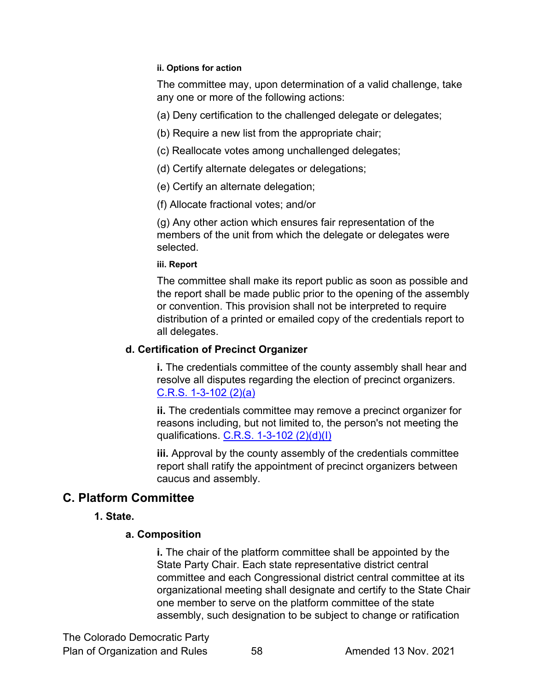#### **ii. Options for action**

The committee may, upon determination of a valid challenge, take any one or more of the following actions:

(a) Deny certification to the challenged delegate or delegates;

- (b) Require a new list from the appropriate chair;
- (c) Reallocate votes among unchallenged delegates;
- (d) Certify alternate delegates or delegations;
- (e) Certify an alternate delegation;
- (f) Allocate fractional votes; and/or

(g) Any other action which ensures fair representation of the members of the unit from which the delegate or delegates were selected.

#### **iii. Report**

The committee shall make its report public as soon as possible and the report shall be made public prior to the opening of the assembly or convention. This provision shall not be interpreted to require distribution of a printed or emailed copy of the credentials report to all delegates.

#### **d. Certification of Precinct Organizer**

**i.** The credentials committee of the county assembly shall hear and resolve all disputes regarding the election of precinct organizers. [C.R.S. 1-3-102 \(2\)\(a\)](https://codes.findlaw.com/co/title-1-elections/co-rev-st-sect-1-3-102.html)

**ii.** The credentials committee may remove a precinct organizer for reasons including, but not limited to, the person's not meeting the qualifications. [C.R.S. 1-3-102 \(2\)\(d\)\(I\)](https://codes.findlaw.com/co/title-1-elections/co-rev-st-sect-1-3-102.html)

**iii.** Approval by the county assembly of the credentials committee report shall ratify the appointment of precinct organizers between caucus and assembly.

# <span id="page-57-0"></span>**C. Platform Committee**

#### **1. State.**

#### **a. Composition**

**i.** The chair of the platform committee shall be appointed by the State Party Chair. Each state representative district central committee and each Congressional district central committee at its organizational meeting shall designate and certify to the State Chair one member to serve on the platform committee of the state assembly, such designation to be subject to change or ratification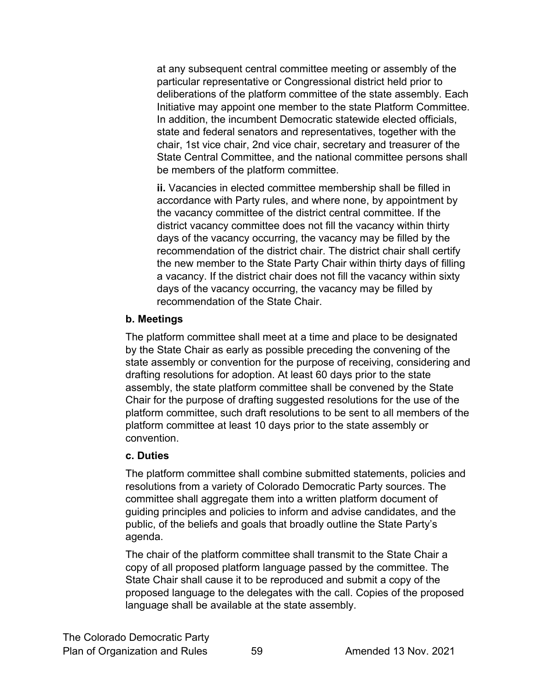at any subsequent central committee meeting or assembly of the particular representative or Congressional district held prior to deliberations of the platform committee of the state assembly. Each Initiative may appoint one member to the state Platform Committee. In addition, the incumbent Democratic statewide elected officials, state and federal senators and representatives, together with the chair, 1st vice chair, 2nd vice chair, secretary and treasurer of the State Central Committee, and the national committee persons shall be members of the platform committee.

**ii.** Vacancies in elected committee membership shall be filled in accordance with Party rules, and where none, by appointment by the vacancy committee of the district central committee. If the district vacancy committee does not fill the vacancy within thirty days of the vacancy occurring, the vacancy may be filled by the recommendation of the district chair. The district chair shall certify the new member to the State Party Chair within thirty days of filling a vacancy. If the district chair does not fill the vacancy within sixty days of the vacancy occurring, the vacancy may be filled by recommendation of the State Chair.

#### **b. Meetings**

The platform committee shall meet at a time and place to be designated by the State Chair as early as possible preceding the convening of the state assembly or convention for the purpose of receiving, considering and drafting resolutions for adoption. At least 60 days prior to the state assembly, the state platform committee shall be convened by the State Chair for the purpose of drafting suggested resolutions for the use of the platform committee, such draft resolutions to be sent to all members of the platform committee at least 10 days prior to the state assembly or convention.

#### **c. Duties**

The platform committee shall combine submitted statements, policies and resolutions from a variety of Colorado Democratic Party sources. The committee shall aggregate them into a written platform document of guiding principles and policies to inform and advise candidates, and the public, of the beliefs and goals that broadly outline the State Party's agenda.

The chair of the platform committee shall transmit to the State Chair a copy of all proposed platform language passed by the committee. The State Chair shall cause it to be reproduced and submit a copy of the proposed language to the delegates with the call. Copies of the proposed language shall be available at the state assembly.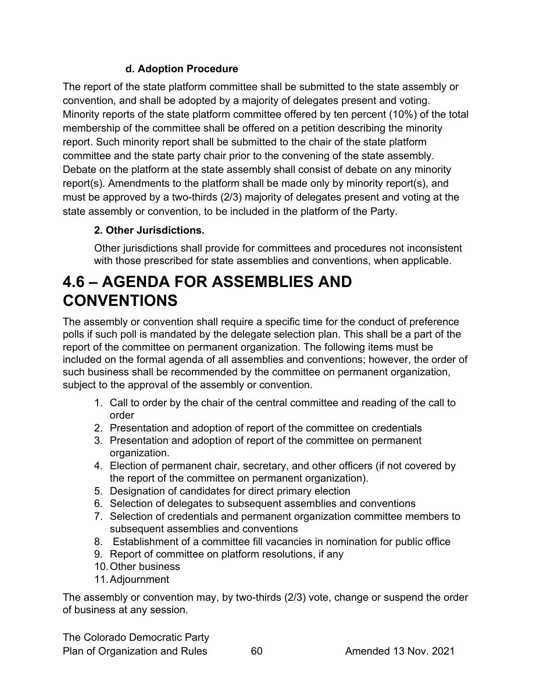#### **d. Adoption Procedure**

The report of the state platform committee shall be submitted to the state assembly or convention, and shall be adopted by a majority of delegates present and voting. Minority reports of the state platform committee offered by ten percent (10%) of the total membership of the committee shall be offered on a petition describing the minority report. Such minority report shall be submitted to the chair of the state platform committee and the state party chair prior to the convening of the state assembly. Debate on the platform at the state assembly shall consist of debate on any minority report(s). Amendments to the platform shall be made only by minority report(s), and must be approved by a two-thirds (2/3) majority of delegates present and voting at the state assembly or convention, to be included in the platform of the Party.

# **2. Other Jurisdictions.**

Other jurisdictions shall provide for committees and procedures not inconsistent with those prescribed for state assemblies and conventions, when applicable.

# <span id="page-59-0"></span>**4.6 – AGENDA FOR ASSEMBLIES AND CONVENTIONS**

The assembly or convention shall require a specific time for the conduct of preference polls if such poll is mandated by the delegate selection plan. This shall be a part of the report of the committee on permanent organization. The following items must be included on the formal agenda of all assemblies and conventions; however, the order of such business shall be recommended by the committee on permanent organization, subject to the approval of the assembly or convention.

- 1. Call to order by the chair of the central committee and reading of the call to order
- 2. Presentation and adoption of report of the committee on credentials
- 3. Presentation and adoption of report of the committee on permanent organization.
- 4. Election of permanent chair, secretary, and other officers (if not covered by the report of the committee on permanent organization).
- 5. Designation of candidates for direct primary election
- 6. Selection of delegates to subsequent assemblies and conventions
- 7. Selection of credentials and permanent organization committee members to subsequent assemblies and conventions
- 8. Establishment of a committee fill vacancies in nomination for public office
- 9. Report of committee on platform resolutions, if any
- 10.Other business
- 11.Adjournment

The assembly or convention may, by two-thirds (2/3) vote, change or suspend the order of business at any session.

The Colorado Democratic Party Plan of Organization and Rules 60 60 Amended 13 Nov. 2021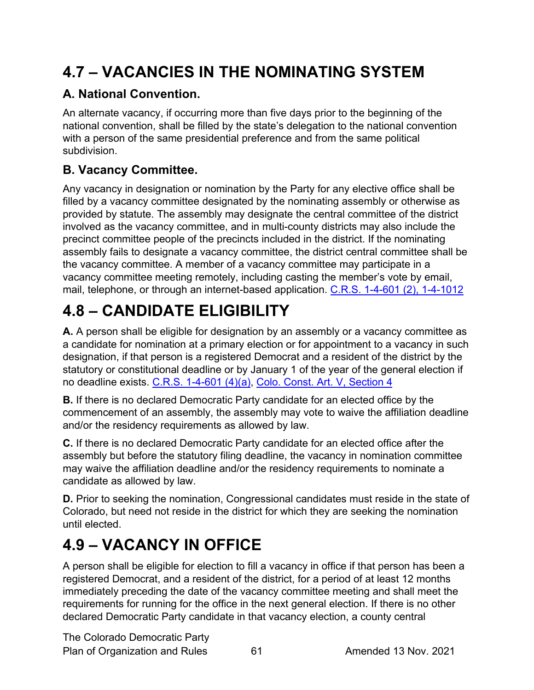# <span id="page-60-0"></span>**4.7 – VACANCIES IN THE NOMINATING SYSTEM**

# <span id="page-60-1"></span>**A. National Convention.**

An alternate vacancy, if occurring more than five days prior to the beginning of the national convention, shall be filled by the state's delegation to the national convention with a person of the same presidential preference and from the same political subdivision.

# <span id="page-60-2"></span>**B. Vacancy Committee.**

Any vacancy in designation or nomination by the Party for any elective office shall be filled by a vacancy committee designated by the nominating assembly or otherwise as provided by statute. The assembly may designate the central committee of the district involved as the vacancy committee, and in multi-county districts may also include the precinct committee people of the precincts included in the district. If the nominating assembly fails to designate a vacancy committee, the district central committee shall be the vacancy committee. A member of a vacancy committee may participate in a vacancy committee meeting remotely, including casting the member's vote by email, mail, telephone, or through an internet-based application. [C.R.S. 1-4-601 \(2\),](https://codes.findlaw.com/co/title-1-elections/co-rev-st-sect-1-4-601.html) 1-4-1012

# <span id="page-60-3"></span>**4.8 – CANDIDATE ELIGIBILITY**

**A.** A person shall be eligible for designation by an assembly or a vacancy committee as a candidate for nomination at a primary election or for appointment to a vacancy in such designation, if that person is a registered Democrat and a resident of the district by the statutory or constitutional deadline or by January 1 of the year of the general election if no deadline exists. [C.R.S. 1-4-601 \(4\)\(a\),](https://codes.findlaw.com/co/title-1-elections/co-rev-st-sect-1-4-601.html) Colo. Const. Art. V, [Section](https://advance.lexis.com/api/document/collection/statutes-legislation/id/6215-7Y41-JWJ0-G163-00008-00?cite=Colo.%20Const.%20Art.%20V%2C%20Section%204&context=1000516) 4

**B.** If there is no declared Democratic Party candidate for an elected office by the commencement of an assembly, the assembly may vote to waive the affiliation deadline and/or the residency requirements as allowed by law.

**C.** If there is no declared Democratic Party candidate for an elected office after the assembly but before the statutory filing deadline, the vacancy in nomination committee may waive the affiliation deadline and/or the residency requirements to nominate a candidate as allowed by law.

**D.** Prior to seeking the nomination, Congressional candidates must reside in the state of Colorado, but need not reside in the district for which they are seeking the nomination until elected.

# <span id="page-60-4"></span>**4.9 – VACANCY IN OFFICE**

A person shall be eligible for election to fill a vacancy in office if that person has been a registered Democrat, and a resident of the district, for a period of at least 12 months immediately preceding the date of the vacancy committee meeting and shall meet the requirements for running for the office in the next general election. If there is no other declared Democratic Party candidate in that vacancy election, a county central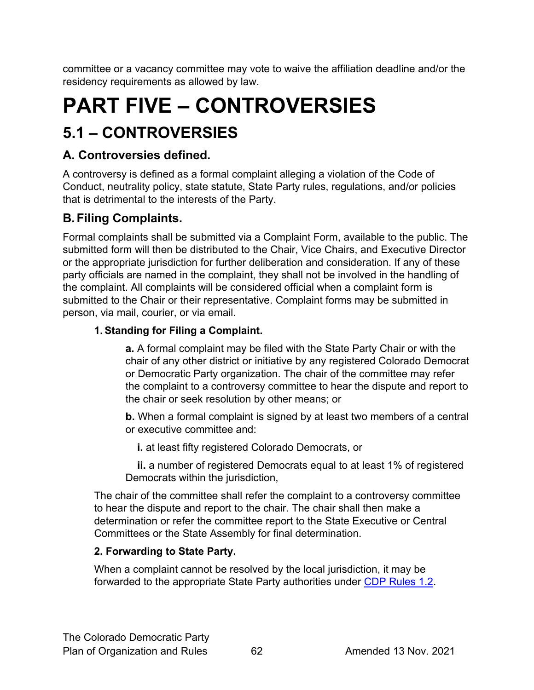committee or a vacancy committee may vote to waive the affiliation deadline and/or the residency requirements as allowed by law.

# <span id="page-61-0"></span>**PART FIVE – CONTROVERSIES**

# <span id="page-61-1"></span>**5.1 – CONTROVERSIES**

# <span id="page-61-2"></span>**A. Controversies defined.**

A controversy is defined as a formal complaint alleging a violation of the Code of Conduct, neutrality policy, state statute, State Party rules, regulations, and/or policies that is detrimental to the interests of the Party.

# <span id="page-61-3"></span>**B.Filing Complaints.**

Formal complaints shall be submitted via a Complaint Form, available to the public. The submitted form will then be distributed to the Chair, Vice Chairs, and Executive Director or the appropriate jurisdiction for further deliberation and consideration. If any of these party officials are named in the complaint, they shall not be involved in the handling of the complaint. All complaints will be considered official when a complaint form is submitted to the Chair or their representative. Complaint forms may be submitted in person, via mail, courier, or via email.

# **1. Standing for Filing a Complaint.**

**a.** A formal complaint may be filed with the State Party Chair or with the chair of any other district or initiative by any registered Colorado Democrat or Democratic Party organization. The chair of the committee may refer the complaint to a controversy committee to hear the dispute and report to the chair or seek resolution by other means; or

**b.** When a formal complaint is signed by at least two members of a central or executive committee and:

 **i.** at least fifty registered Colorado Democrats, or

 **ii.** a number of registered Democrats equal to at least 1% of registered Democrats within the jurisdiction,

The chair of the committee shall refer the complaint to a controversy committee to hear the dispute and report to the chair. The chair shall then make a determination or refer the committee report to the State Executive or Central Committees or the State Assembly for final determination.

# **2. Forwarding to State Party.**

When a complaint cannot be resolved by the local jurisdiction, it may be forwarded to the appropriate State Party authorities under [CDP Rules 1.2.](#page-8-0)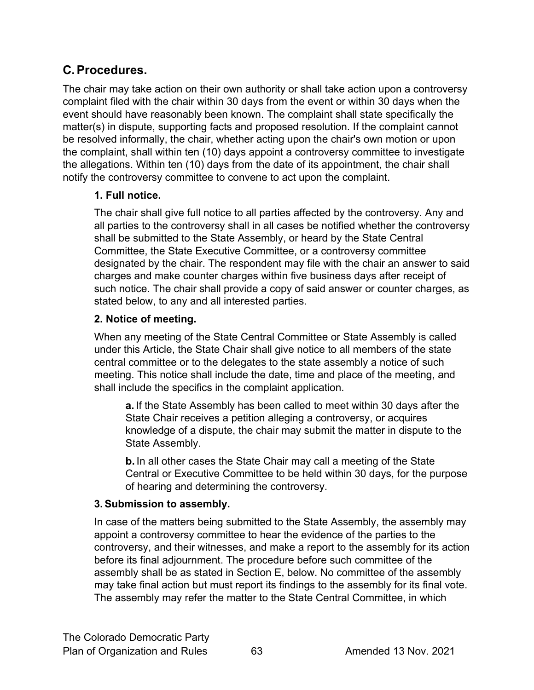# <span id="page-62-0"></span>**C.Procedures.**

The chair may take action on their own authority or shall take action upon a controversy complaint filed with the chair within 30 days from the event or within 30 days when the event should have reasonably been known. The complaint shall state specifically the matter(s) in dispute, supporting facts and proposed resolution. If the complaint cannot be resolved informally, the chair, whether acting upon the chair's own motion or upon the complaint, shall within ten (10) days appoint a controversy committee to investigate the allegations. Within ten (10) days from the date of its appointment, the chair shall notify the controversy committee to convene to act upon the complaint.

#### **1. Full notice.**

The chair shall give full notice to all parties affected by the controversy. Any and all parties to the controversy shall in all cases be notified whether the controversy shall be submitted to the State Assembly, or heard by the State Central Committee, the State Executive Committee, or a controversy committee designated by the chair. The respondent may file with the chair an answer to said charges and make counter charges within five business days after receipt of such notice. The chair shall provide a copy of said answer or counter charges, as stated below, to any and all interested parties.

#### **2. Notice of meeting.**

When any meeting of the State Central Committee or State Assembly is called under this Article, the State Chair shall give notice to all members of the state central committee or to the delegates to the state assembly a notice of such meeting. This notice shall include the date, time and place of the meeting, and shall include the specifics in the complaint application.

**a.** If the State Assembly has been called to meet within 30 days after the State Chair receives a petition alleging a controversy, or acquires knowledge of a dispute, the chair may submit the matter in dispute to the State Assembly.

**b.** In all other cases the State Chair may call a meeting of the State Central or Executive Committee to be held within 30 days, for the purpose of hearing and determining the controversy.

#### **3. Submission to assembly.**

In case of the matters being submitted to the State Assembly, the assembly may appoint a controversy committee to hear the evidence of the parties to the controversy, and their witnesses, and make a report to the assembly for its action before its final adjournment. The procedure before such committee of the assembly shall be as stated in Section E, below. No committee of the assembly may take final action but must report its findings to the assembly for its final vote. The assembly may refer the matter to the State Central Committee, in which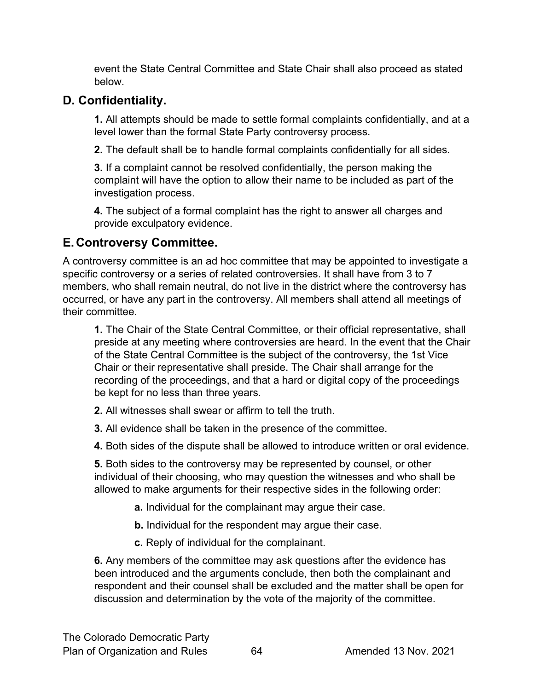event the State Central Committee and State Chair shall also proceed as stated below.

# <span id="page-63-0"></span>**D. Confidentiality.**

**1.** All attempts should be made to settle formal complaints confidentially, and at a level lower than the formal State Party controversy process.

**2.** The default shall be to handle formal complaints confidentially for all sides.

**3.** If a complaint cannot be resolved confidentially, the person making the complaint will have the option to allow their name to be included as part of the investigation process.

**4.** The subject of a formal complaint has the right to answer all charges and provide exculpatory evidence.

# <span id="page-63-1"></span>**E.Controversy Committee.**

A controversy committee is an ad hoc committee that may be appointed to investigate a specific controversy or a series of related controversies. It shall have from 3 to 7 members, who shall remain neutral, do not live in the district where the controversy has occurred, or have any part in the controversy. All members shall attend all meetings of their committee.

**1.** The Chair of the State Central Committee, or their official representative, shall preside at any meeting where controversies are heard. In the event that the Chair of the State Central Committee is the subject of the controversy, the 1st Vice Chair or their representative shall preside. The Chair shall arrange for the recording of the proceedings, and that a hard or digital copy of the proceedings be kept for no less than three years.

- **2.** All witnesses shall swear or affirm to tell the truth.
- **3.** All evidence shall be taken in the presence of the committee.
- **4.** Both sides of the dispute shall be allowed to introduce written or oral evidence.

**5.** Both sides to the controversy may be represented by counsel, or other individual of their choosing, who may question the witnesses and who shall be allowed to make arguments for their respective sides in the following order:

- **a.** Individual for the complainant may argue their case.
- **b.** Individual for the respondent may argue their case.
- **c.** Reply of individual for the complainant.

**6.** Any members of the committee may ask questions after the evidence has been introduced and the arguments conclude, then both the complainant and respondent and their counsel shall be excluded and the matter shall be open for discussion and determination by the vote of the majority of the committee.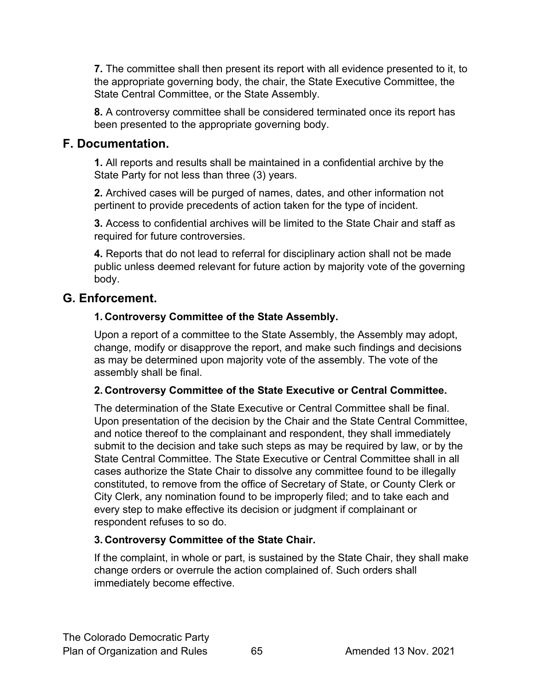**7.** The committee shall then present its report with all evidence presented to it, to the appropriate governing body, the chair, the State Executive Committee, the State Central Committee, or the State Assembly.

**8.** A controversy committee shall be considered terminated once its report has been presented to the appropriate governing body.

#### <span id="page-64-0"></span>**F. Documentation.**

**1.** All reports and results shall be maintained in a confidential archive by the State Party for not less than three (3) years.

**2.** Archived cases will be purged of names, dates, and other information not pertinent to provide precedents of action taken for the type of incident.

**3.** Access to confidential archives will be limited to the State Chair and staff as required for future controversies.

**4.** Reports that do not lead to referral for disciplinary action shall not be made public unless deemed relevant for future action by majority vote of the governing body.

# <span id="page-64-1"></span>**G. Enforcement.**

#### **1. Controversy Committee of the State Assembly.**

Upon a report of a committee to the State Assembly, the Assembly may adopt, change, modify or disapprove the report, and make such findings and decisions as may be determined upon majority vote of the assembly. The vote of the assembly shall be final.

#### **2. Controversy Committee of the State Executive or Central Committee.**

The determination of the State Executive or Central Committee shall be final. Upon presentation of the decision by the Chair and the State Central Committee, and notice thereof to the complainant and respondent, they shall immediately submit to the decision and take such steps as may be required by law, or by the State Central Committee. The State Executive or Central Committee shall in all cases authorize the State Chair to dissolve any committee found to be illegally constituted, to remove from the office of Secretary of State, or County Clerk or City Clerk, any nomination found to be improperly filed; and to take each and every step to make effective its decision or judgment if complainant or respondent refuses to so do.

#### **3. Controversy Committee of the State Chair.**

If the complaint, in whole or part, is sustained by the State Chair, they shall make change orders or overrule the action complained of. Such orders shall immediately become effective.